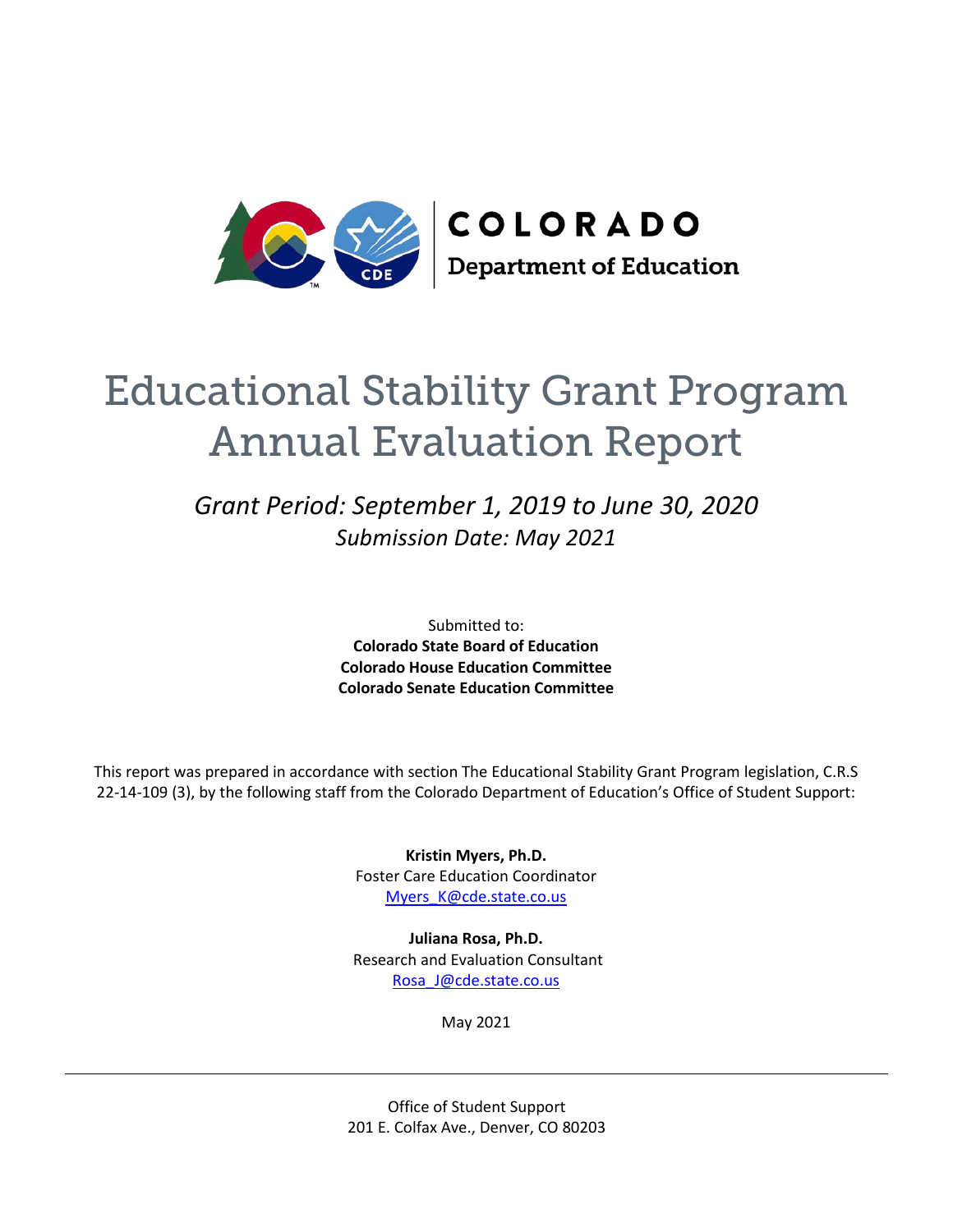

# Educational Stability Grant Program Annual Evaluation Report

# *Grant Period: September 1, 2019 to June 30, 2020 Submission Date: May 2021*

Submitted to: **Colorado State Board of Education Colorado House Education Committee Colorado Senate Education Committee**

This report was prepared in accordance with section The Educational Stability Grant Program legislation, C.R.S 22-14-109 (3), by the following staff from the Colorado Department of Education's Office of Student Support:

> **Kristin Myers, Ph.D.** Foster Care Education Coordinator Myers K@cde.state.co.us

**Juliana Rosa, Ph.D.** Research and Evaluation Consultant [Rosa\\_J@cde.state.co.us](about:blank)

May 2021

Office of Student Support 201 E. Colfax Ave., Denver, CO 80203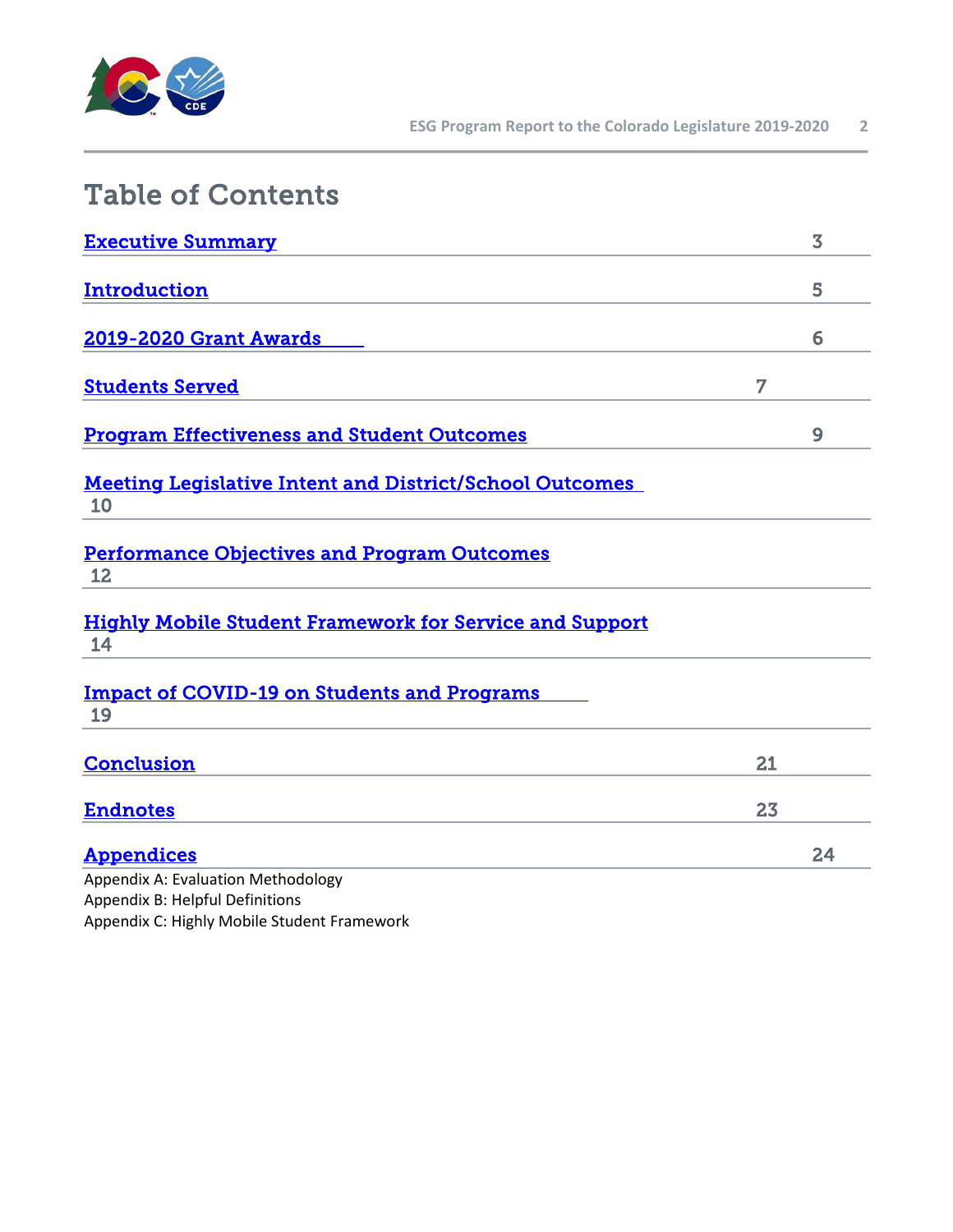

| <b>Table of Contents</b>                                              |    |                         |
|-----------------------------------------------------------------------|----|-------------------------|
| <b>Executive Summary</b>                                              |    | $\overline{\mathbf{3}}$ |
| Introduction                                                          |    | 5                       |
| <b>2019-2020 Grant Awards</b>                                         |    | 6                       |
| <b>Students Served</b>                                                | 7  |                         |
| <b>Program Effectiveness and Student Outcomes</b>                     |    | 9                       |
| <b>Meeting Legislative Intent and District/School Outcomes</b><br>10  |    |                         |
| <b>Performance Objectives and Program Outcomes</b><br>12              |    |                         |
| <b>Highly Mobile Student Framework for Service and Support</b><br>14  |    |                         |
| <b>Impact of COVID-19 on Students and Programs</b><br>19              |    |                         |
| <b>Conclusion</b>                                                     | 21 |                         |
| <b>Endnotes</b>                                                       | 23 |                         |
| <b>Appendices</b>                                                     |    | 24                      |
| Appendix A: Evaluation Methodology<br>Appendix B: Helpful Definitions |    |                         |

Appendix C: Highly Mobile Student Framework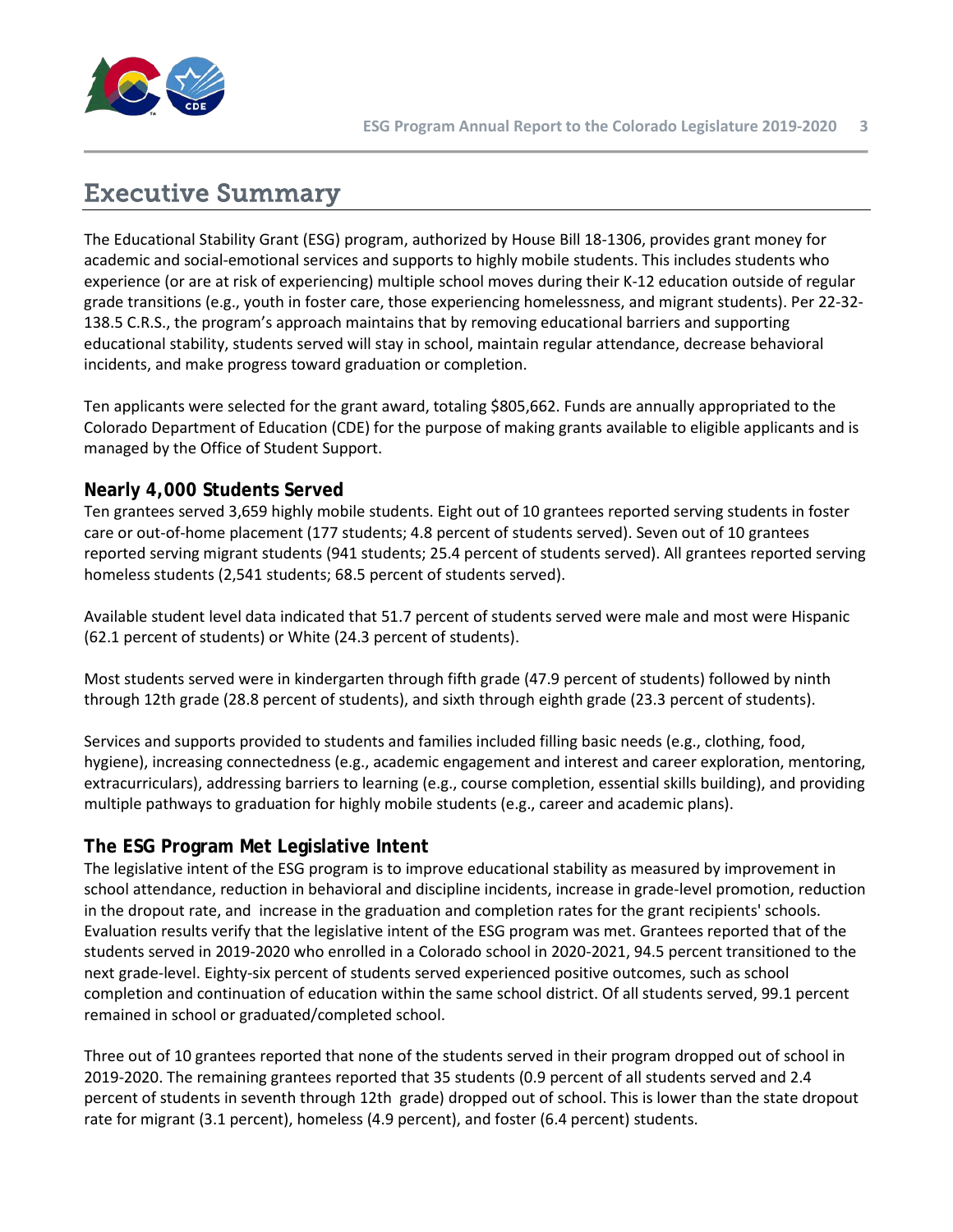

# <span id="page-2-0"></span>Executive Summary

The Educational Stability Grant (ESG) program, authorized by House Bill 18-1306, provides grant money for academic and social-emotional services and supports to highly mobile students. This includes students who experience (or are at risk of experiencing) multiple school moves during their K-12 education outside of regular grade transitions (e.g., youth in foster care, those experiencing homelessness, and migrant students). Per 22-32- 138.5 C.R.S., the program's approach maintains that by removing educational barriers and supporting educational stability, students served will stay in school, maintain regular attendance, decrease behavioral incidents, and make progress toward graduation or completion.

Ten applicants were selected for the grant award, totaling \$805,662. Funds are annually appropriated to the Colorado Department of Education (CDE) for the purpose of making grants available to eligible applicants and is managed by the Office of Student Support.

# **Nearly 4,000 Students Served**

Ten grantees served 3,659 highly mobile students. Eight out of 10 grantees reported serving students in foster care or out-of-home placement (177 students; 4.8 percent of students served). Seven out of 10 grantees reported serving migrant students (941 students; 25.4 percent of students served). All grantees reported serving homeless students (2,541 students; 68.5 percent of students served).

Available student level data indicated that 51.7 percent of students served were male and most were Hispanic (62.1 percent of students) or White (24.3 percent of students).

Most students served were in kindergarten through fifth grade (47.9 percent of students) followed by ninth through 12th grade (28.8 percent of students), and sixth through eighth grade (23.3 percent of students).

Services and supports provided to students and families included filling basic needs (e.g., clothing, food, hygiene), increasing connectedness (e.g., academic engagement and interest and career exploration, mentoring, extracurriculars), addressing barriers to learning (e.g., course completion, essential skills building), and providing multiple pathways to graduation for highly mobile students (e.g., career and academic plans).

# **The ESG Program Met Legislative Intent**

The legislative intent of the ESG program is to improve educational stability as measured by improvement in school attendance, reduction in behavioral and discipline incidents, increase in grade-level promotion, reduction in the dropout rate, and increase in the graduation and completion rates for the grant recipients' schools. Evaluation results verify that the legislative intent of the ESG program was met. Grantees reported that of the students served in 2019-2020 who enrolled in a Colorado school in 2020-2021, 94.5 percent transitioned to the next grade-level. Eighty-six percent of students served experienced positive outcomes, such as school completion and continuation of education within the same school district. Of all students served, 99.1 percent remained in school or graduated/completed school.

Three out of 10 grantees reported that none of the students served in their program dropped out of school in 2019-2020. The remaining grantees reported that 35 students (0.9 percent of all students served and 2.4 percent of students in seventh through 12th grade) dropped out of school. This is lower than the state dropout rate for migrant (3.1 percent), homeless (4.9 percent), and foster (6.4 percent) students.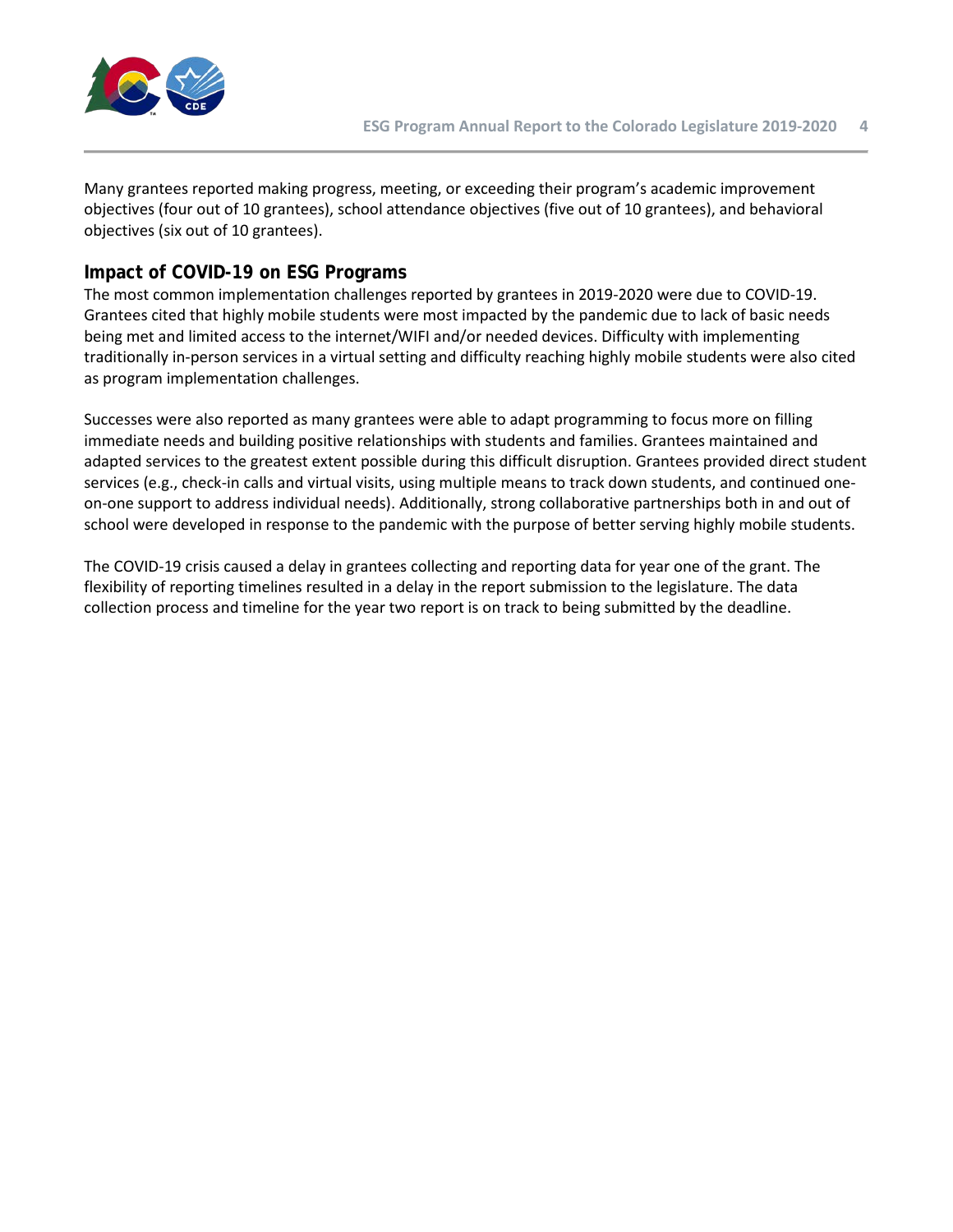

Many grantees reported making progress, meeting, or exceeding their program's academic improvement objectives (four out of 10 grantees), school attendance objectives (five out of 10 grantees), and behavioral objectives (six out of 10 grantees).

### **Impact of COVID-19 on ESG Programs**

The most common implementation challenges reported by grantees in 2019-2020 were due to COVID-19. Grantees cited that highly mobile students were most impacted by the pandemic due to lack of basic needs being met and limited access to the internet/WIFI and/or needed devices. Difficulty with implementing traditionally in-person services in a virtual setting and difficulty reaching highly mobile students were also cited as program implementation challenges.

Successes were also reported as many grantees were able to adapt programming to focus more on filling immediate needs and building positive relationships with students and families. Grantees maintained and adapted services to the greatest extent possible during this difficult disruption. Grantees provided direct student services (e.g., check-in calls and virtual visits, using multiple means to track down students, and continued oneon-one support to address individual needs). Additionally, strong collaborative partnerships both in and out of school were developed in response to the pandemic with the purpose of better serving highly mobile students.

The COVID-19 crisis caused a delay in grantees collecting and reporting data for year one of the grant. The flexibility of reporting timelines resulted in a delay in the report submission to the legislature. The data collection process and timeline for the year two report is on track to being submitted by the deadline.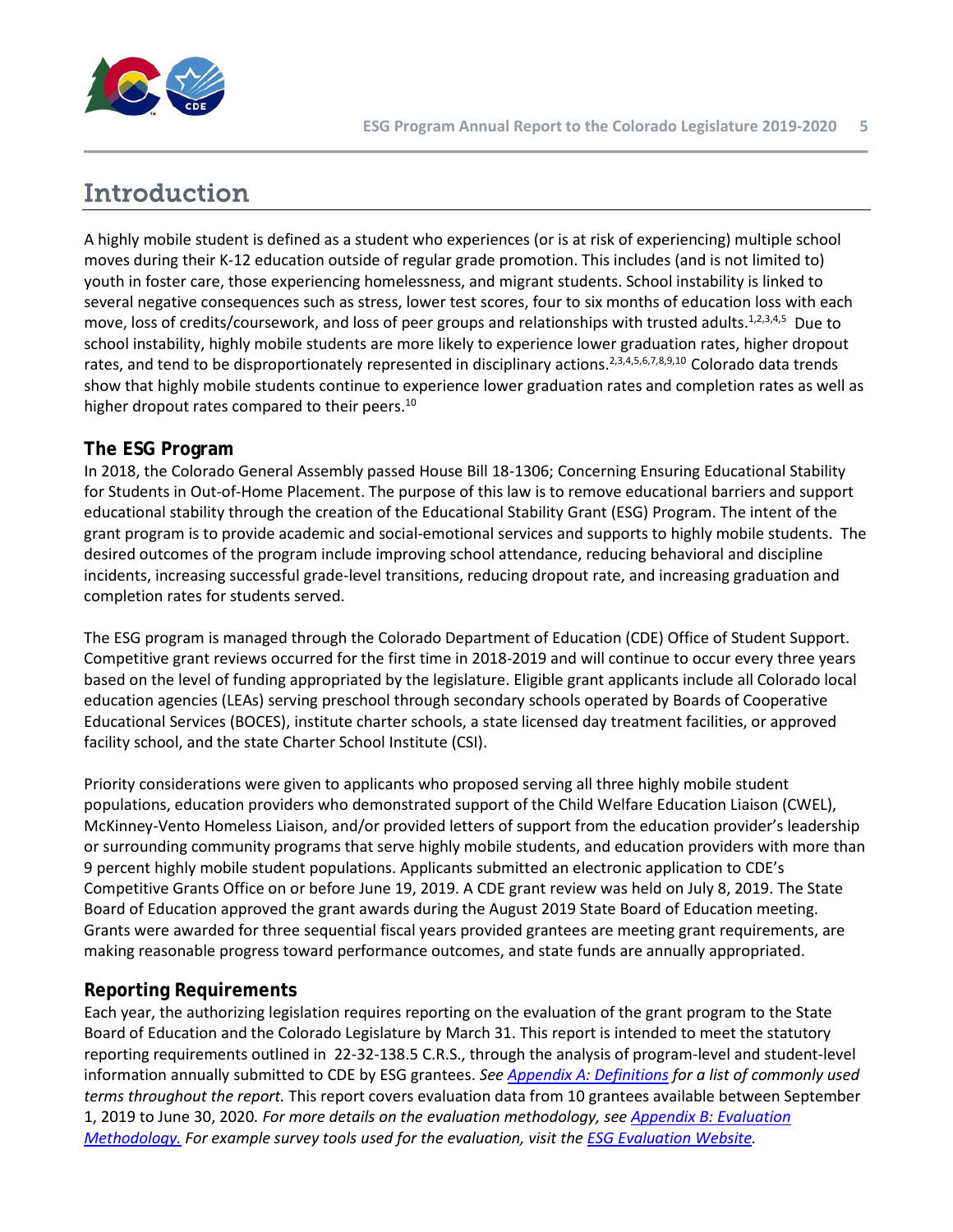

# <span id="page-4-0"></span>Introduction

A highly mobile student is defined as a student who experiences (or is at risk of experiencing) multiple school moves during their K-12 education outside of regular grade promotion. This includes (and is not limited to) youth in foster care, those experiencing homelessness, and migrant students. School instability is linked to several negative consequences such as stress, lower test scores, four to six months of education loss with each move, loss of credits/coursework, and loss of peer groups and relationships with trusted adults.<sup>1,2,3,4,5</sup> Due to school instability, highly mobile students are more likely to experience lower graduation rates, higher dropout rates, and tend to be disproportionately represented in disciplinary actions.<sup>2,3,4,5,6,7,8,9,10</sup> Colorado data trends show that highly mobile students continue to experience lower graduation rates and completion rates as well as higher dropout rates compared to their peers.<sup>10</sup>

# **The ESG Program**

In 2018, the Colorado General Assembly passed House Bill 18-1306; Concerning Ensuring Educational Stability for Students in Out-of-Home Placement. The purpose of this law is to remove educational barriers and support educational stability through the creation of the Educational Stability Grant (ESG) Program. The intent of the grant program is to provide academic and social-emotional services and supports to highly mobile students. The desired outcomes of the program include improving school attendance, reducing behavioral and discipline incidents, increasing successful grade-level transitions, reducing dropout rate, and increasing graduation and completion rates for students served.

The ESG program is managed through the Colorado Department of Education (CDE) Office of Student Support. Competitive grant reviews occurred for the first time in 2018-2019 and will continue to occur every three years based on the level of funding appropriated by the legislature. Eligible grant applicants include all Colorado local education agencies (LEAs) serving preschool through secondary schools operated by Boards of Cooperative Educational Services (BOCES), institute charter schools, a state licensed day treatment facilities, or approved facility school, and the state Charter School Institute (CSI).

Priority considerations were given to applicants who proposed serving all three highly mobile student populations, education providers who demonstrated support of the Child Welfare Education Liaison (CWEL), McKinney-Vento Homeless Liaison, and/or provided letters of support from the education provider's leadership or surrounding community programs that serve highly mobile students, and education providers with more than 9 percent highly mobile student populations. Applicants submitted an electronic application to CDE's Competitive Grants Office on or before June 19, 2019. A CDE grant review was held on July 8, 2019. The State Board of Education approved the grant awards during the August 2019 State Board of Education meeting. Grants were awarded for three sequential fiscal years provided grantees are meeting grant requirements, are making reasonable progress toward performance outcomes, and state funds are annually appropriated.

# **Reporting Requirements**

Each year, the authorizing legislation requires reporting on the evaluation of the grant program to the State Board of Education and the Colorado Legislature by March 31. This report is intended to meet the statutory reporting requirements outlined in 22-32-138.5 C.R.S., through the analysis of program-level and student-level information annually submitted to CDE by ESG grantees. *See Appendix A: Definitions for a list of commonly used terms throughout the report.* This report covers evaluation data from 10 grantees available between September 1, 2019 to June 30, 2020*. For more details on the evaluation methodology, see Appendix B: Evaluation Methodology. For example survey tools used for the evaluation, visit the [ESG Evaluation Website.](https://www.cde.state.co.us/dropoutprevention/esgevaluationandreporting)*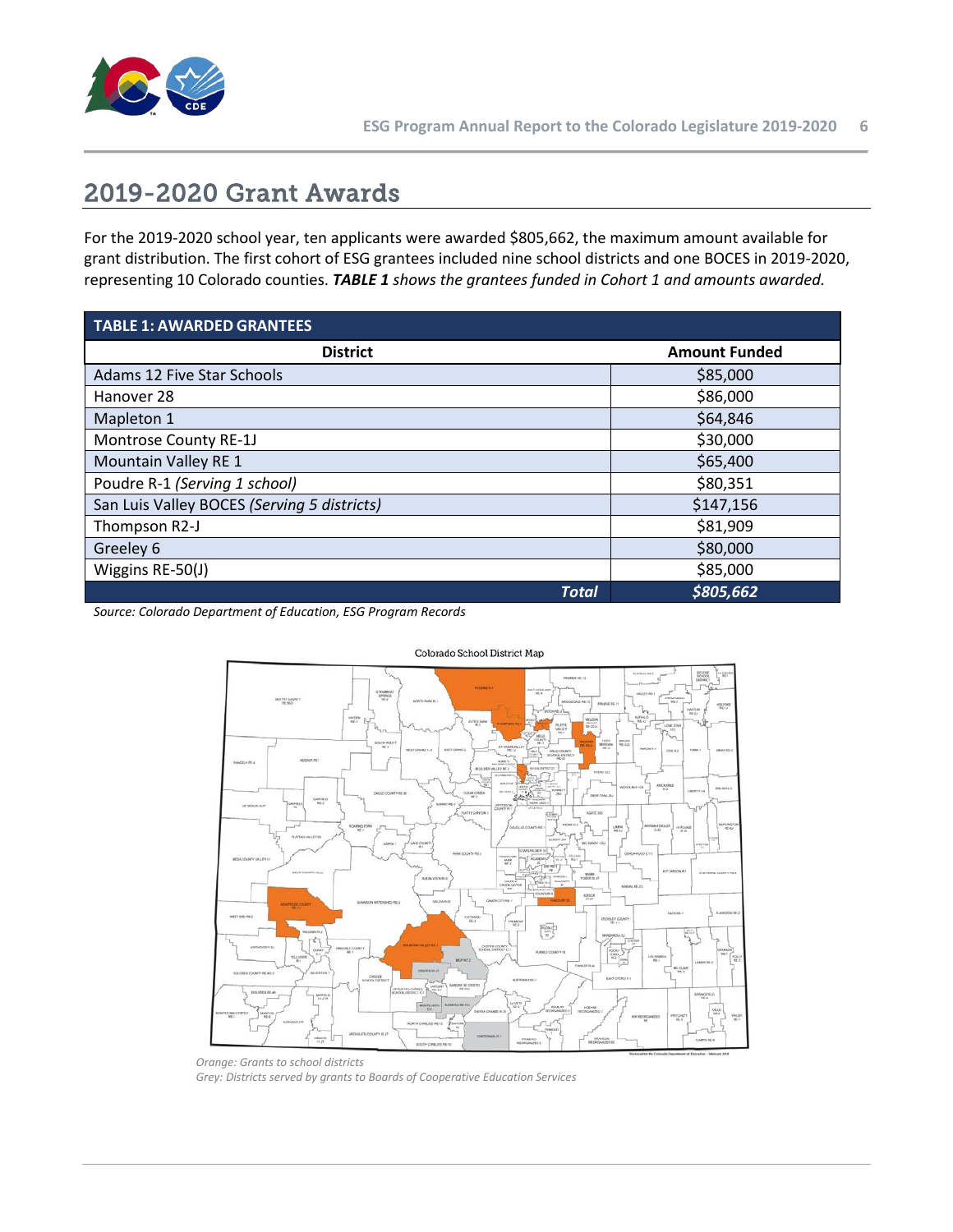

# <span id="page-5-0"></span>2019-2020 Grant Awards

For the 2019-2020 school year, ten applicants were awarded \$805,662, the maximum amount available for grant distribution. The first cohort of ESG grantees included nine school districts and one BOCES in 2019-2020, representing 10 Colorado counties. *TABLE 1 shows the grantees funded in Cohort 1 and amounts awarded.*

| <b>TABLE 1: AWARDED GRANTEES</b>            |                      |  |  |  |  |
|---------------------------------------------|----------------------|--|--|--|--|
| <b>District</b>                             | <b>Amount Funded</b> |  |  |  |  |
| Adams 12 Five Star Schools                  | \$85,000             |  |  |  |  |
| Hanover 28                                  | \$86,000             |  |  |  |  |
| Mapleton 1                                  | \$64,846             |  |  |  |  |
| Montrose County RE-1J                       | \$30,000             |  |  |  |  |
| Mountain Valley RE 1                        | \$65,400             |  |  |  |  |
| Poudre R-1 (Serving 1 school)               | \$80,351             |  |  |  |  |
| San Luis Valley BOCES (Serving 5 districts) | \$147,156            |  |  |  |  |
| Thompson R2-J                               | \$81,909             |  |  |  |  |
| Greeley 6                                   | \$80,000             |  |  |  |  |
| Wiggins RE-50(J)                            | \$85,000             |  |  |  |  |
| <b>Total</b>                                | \$805,662            |  |  |  |  |

*Source: Colorado Department of Education, ESG Program Records*



Colorado School District Map

*Orange: Grants to school districts Grey: Districts served by grants to Boards of Cooperative Education Services*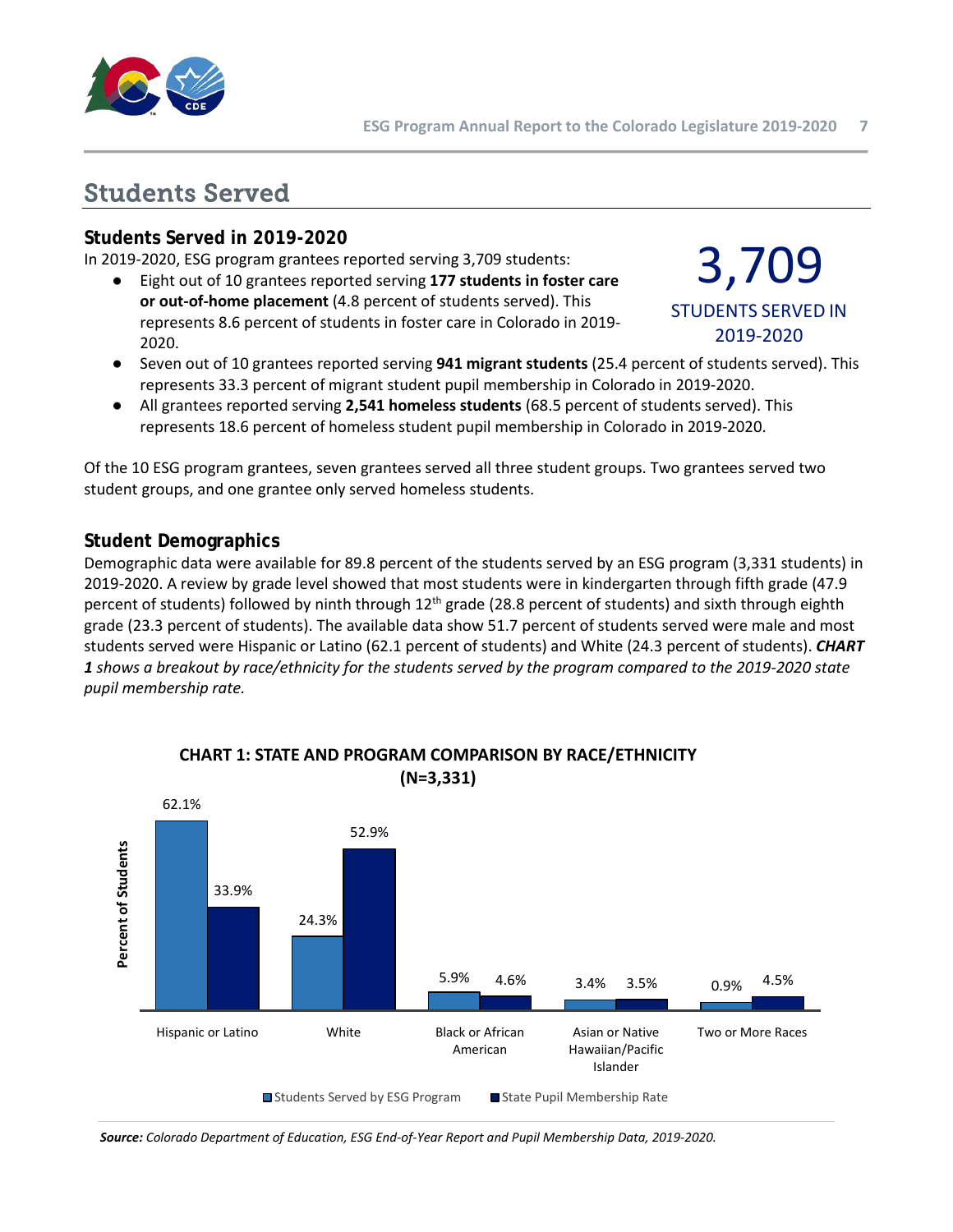

# <span id="page-6-0"></span>Students Served

### **Students Served in 2019-2020**

In 2019-2020, ESG program grantees reported serving 3,709 students:

● Eight out of 10 grantees reported serving **177 students in foster care or out-of-home placement** (4.8 percent of students served). This represents 8.6 percent of students in foster care in Colorado in 2019- 2020.

# 3,709 STUDENTS SERVED IN 2019-2020

- Seven out of 10 grantees reported serving **941 migrant students** (25.4 percent of students served). This represents 33.3 percent of migrant student pupil membership in Colorado in 2019-2020.
- All grantees reported serving **2,541 homeless students** (68.5 percent of students served). This represents 18.6 percent of homeless student pupil membership in Colorado in 2019-2020.

Of the 10 ESG program grantees, seven grantees served all three student groups. Two grantees served two student groups, and one grantee only served homeless students.

### **Student Demographics**

Demographic data were available for 89.8 percent of the students served by an ESG program (3,331 students) in 2019-2020. A review by grade level showed that most students were in kindergarten through fifth grade (47.9 percent of students) followed by ninth through  $12<sup>th</sup>$  grade (28.8 percent of students) and sixth through eighth grade (23.3 percent of students). The available data show 51.7 percent of students served were male and most students served were Hispanic or Latino (62.1 percent of students) and White (24.3 percent of students). *CHART 1 shows a breakout by race/ethnicity for the students served by the program compared to the 2019-2020 state pupil membership rate.*



# **CHART 1: STATE AND PROGRAM COMPARISON BY RACE/ETHNICITY**

*Source: Colorado Department of Education, ESG End-of-Year Report and Pupil Membership Data, 2019-2020.*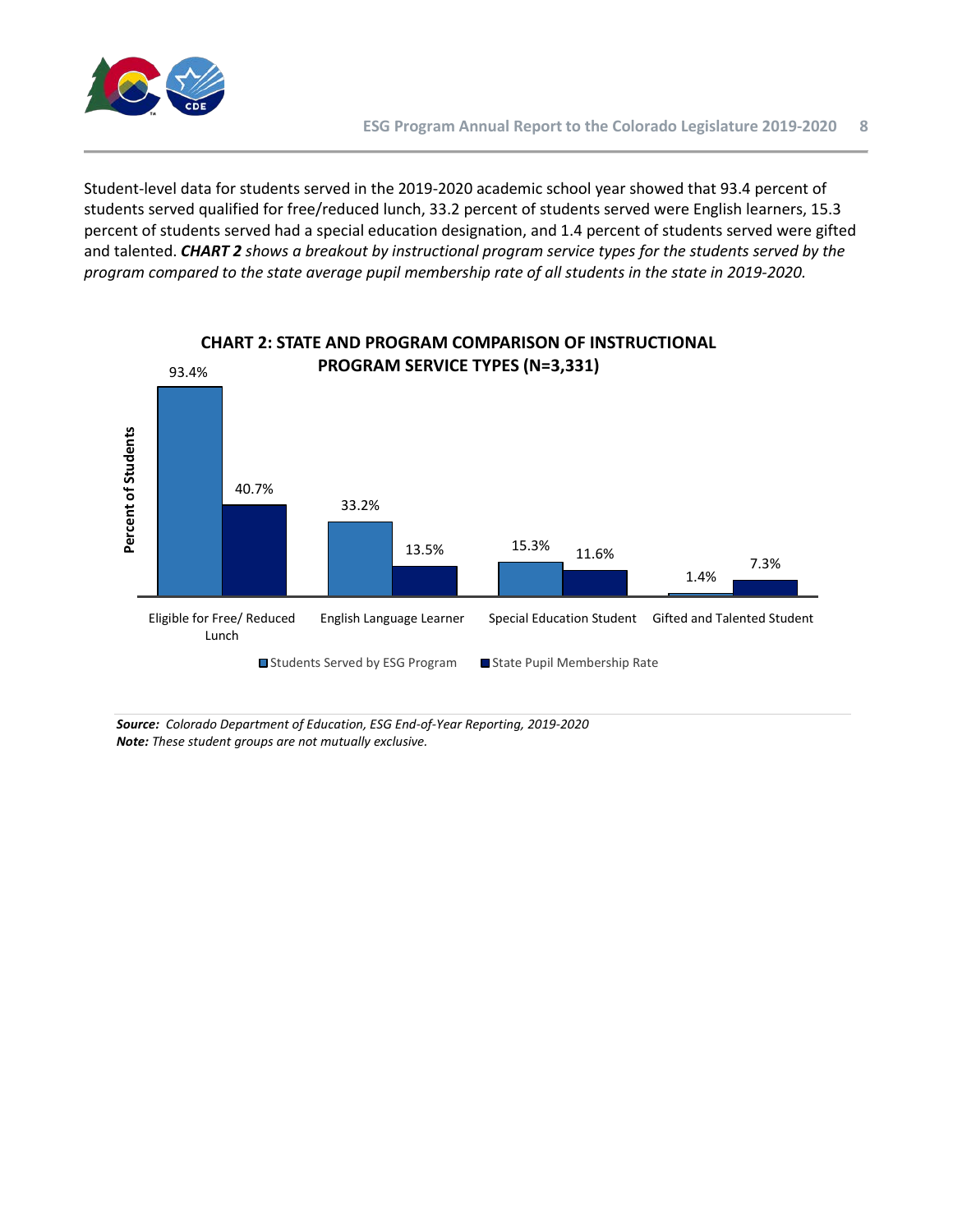

Student-level data for students served in the 2019-2020 academic school year showed that 93.4 percent of students served qualified for free/reduced lunch, 33.2 percent of students served were English learners, 15.3 percent of students served had a special education designation, and 1.4 percent of students served were gifted and talented. *CHART 2 shows a breakout by instructional program service types for the students served by the program compared to the state average pupil membership rate of all students in the state in 2019-2020.* 



**CHART 2: STATE AND PROGRAM COMPARISON OF INSTRUCTIONAL** 

*Source: Colorado Department of Education, ESG End-of-Year Reporting, 2019-2020 Note: These student groups are not mutually exclusive.*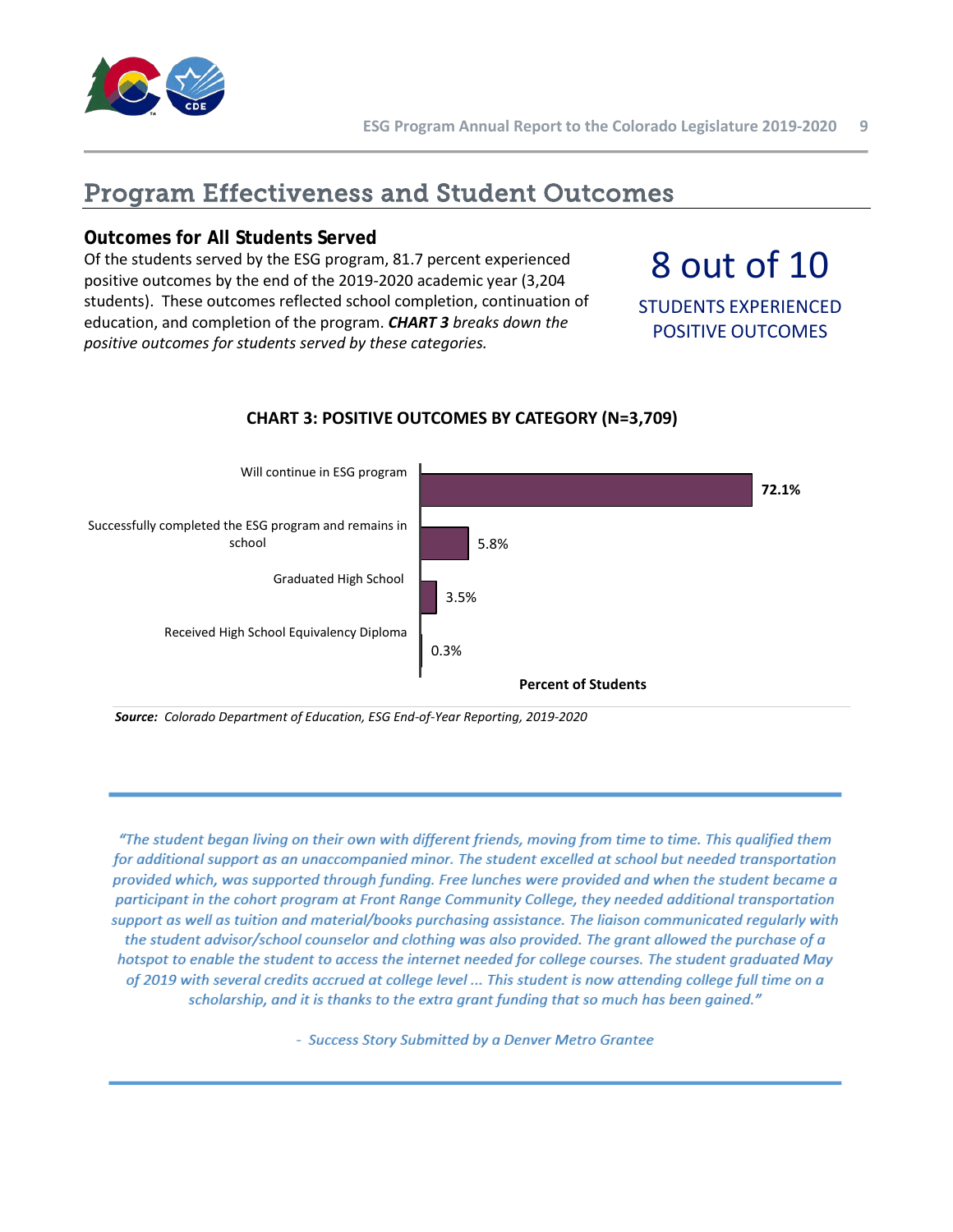

# <span id="page-8-0"></span>Program Effectiveness and Student Outcomes

### **Outcomes for All Students Served**

Of the students served by the ESG program, 81.7 percent experienced positive outcomes by the end of the 2019-2020 academic year (3,204 students). These outcomes reflected school completion, continuation of education, and completion of the program. *CHART 3 breaks down the positive outcomes for students served by these categories.* 

# 8 out of 10

STUDENTS EXPERIENCED POSITIVE OUTCOMES



### **CHART 3: POSITIVE OUTCOMES BY CATEGORY (N=3,709)**

*Source: Colorado Department of Education, ESG End-of-Year Reporting, 2019-2020*

"The student began living on their own with different friends, moving from time to time. This qualified them for additional support as an unaccompanied minor. The student excelled at school but needed transportation provided which, was supported through funding. Free lunches were provided and when the student became a participant in the cohort program at Front Range Community College, they needed additional transportation support as well as tuition and material/books purchasing assistance. The liaison communicated regularly with the student advisor/school counselor and clothing was also provided. The grant allowed the purchase of a hotspot to enable the student to access the internet needed for college courses. The student graduated May of 2019 with several credits accrued at college level ... This student is now attending college full time on a scholarship, and it is thanks to the extra grant funding that so much has been gained."

- Success Story Submitted by a Denver Metro Grantee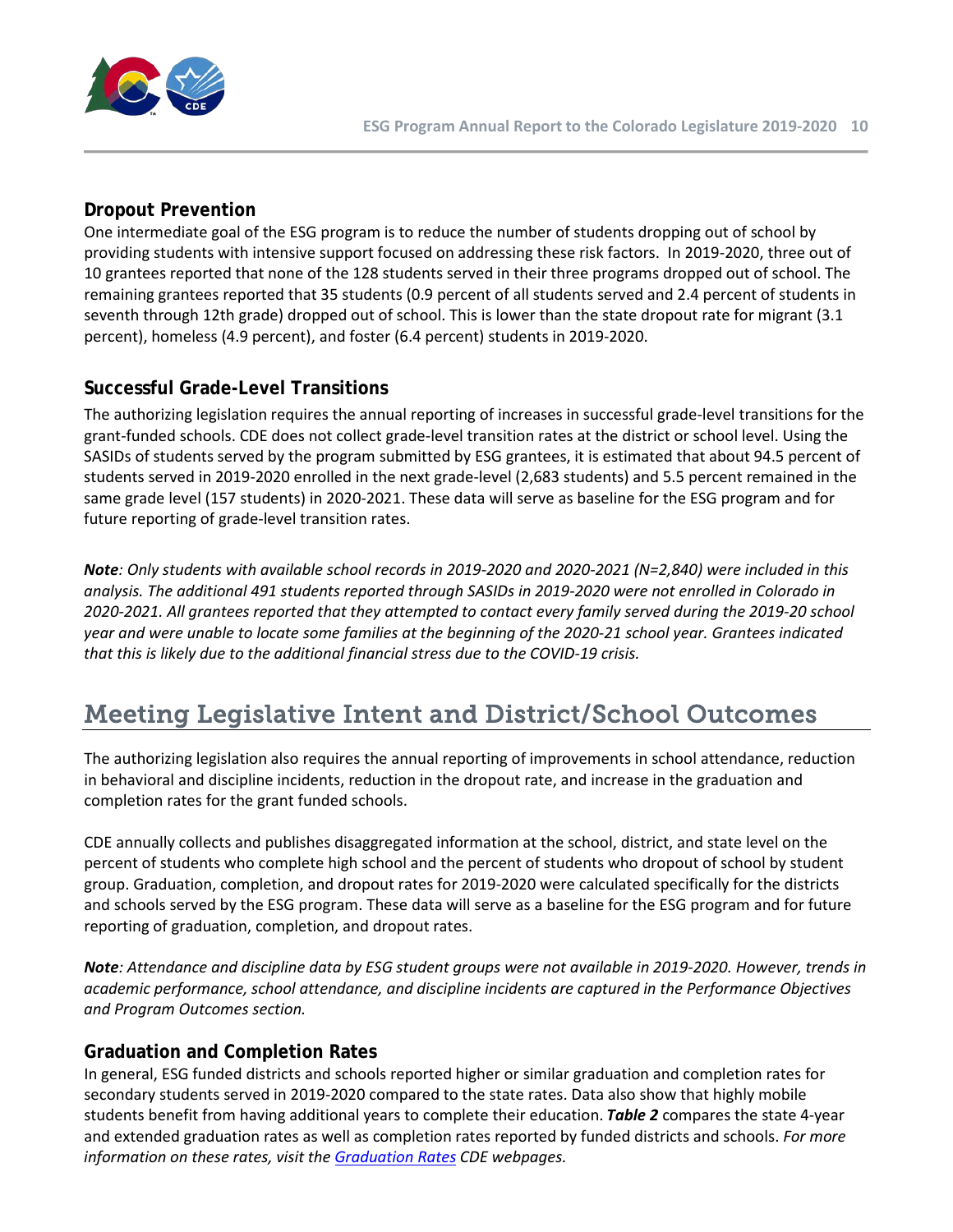

# **Dropout Prevention**

One intermediate goal of the ESG program is to reduce the number of students dropping out of school by providing students with intensive support focused on addressing these risk factors. In 2019-2020, three out of 10 grantees reported that none of the 128 students served in their three programs dropped out of school. The remaining grantees reported that 35 students (0.9 percent of all students served and 2.4 percent of students in seventh through 12th grade) dropped out of school. This is lower than the state dropout rate for migrant (3.1 percent), homeless (4.9 percent), and foster (6.4 percent) students in 2019-2020.

# **Successful Grade-Level Transitions**

The authorizing legislation requires the annual reporting of increases in successful grade-level transitions for the grant-funded schools. CDE does not collect grade-level transition rates at the district or school level. Using the SASIDs of students served by the program submitted by ESG grantees, it is estimated that about 94.5 percent of students served in 2019-2020 enrolled in the next grade-level (2,683 students) and 5.5 percent remained in the same grade level (157 students) in 2020-2021. These data will serve as baseline for the ESG program and for future reporting of grade-level transition rates.

*Note: Only students with available school records in 2019-2020 and 2020-2021 (N=2,840) were included in this analysis. The additional 491 students reported through SASIDs in 2019-2020 were not enrolled in Colorado in 2020-2021. All grantees reported that they attempted to contact every family served during the 2019-20 school year and were unable to locate some families at the beginning of the 2020-21 school year. Grantees indicated that this is likely due to the additional financial stress due to the COVID-19 crisis.* 

# <span id="page-9-0"></span>Meeting Legislative Intent and District/School Outcomes

The authorizing legislation also requires the annual reporting of improvements in school attendance, reduction in behavioral and discipline incidents, reduction in the dropout rate, and increase in the graduation and completion rates for the grant funded schools.

CDE annually collects and publishes disaggregated information at the school, district, and state level on the percent of students who complete high school and the percent of students who dropout of school by student group. Graduation, completion, and dropout rates for 2019-2020 were calculated specifically for the districts and schools served by the ESG program. These data will serve as a baseline for the ESG program and for future reporting of graduation, completion, and dropout rates.

*Note: Attendance and discipline data by ESG student groups were not available in 2019-2020. However, trends in academic performance, school attendance, and discipline incidents are captured in the Performance Objectives and Program Outcomes section.* 

### **Graduation and Completion Rates**

In general, ESG funded districts and schools reported higher or similar graduation and completion rates for secondary students served in 2019-2020 compared to the state rates. Data also show that highly mobile students benefit from having additional years to complete their education. *Table 2* compares the state 4-year and extended graduation rates as well as completion rates reported by funded districts and schools. *For more information on these rates, visit the [Graduation Rates](https://www.cde.state.co.us/cdereval/gradcurrent) CDE webpages.*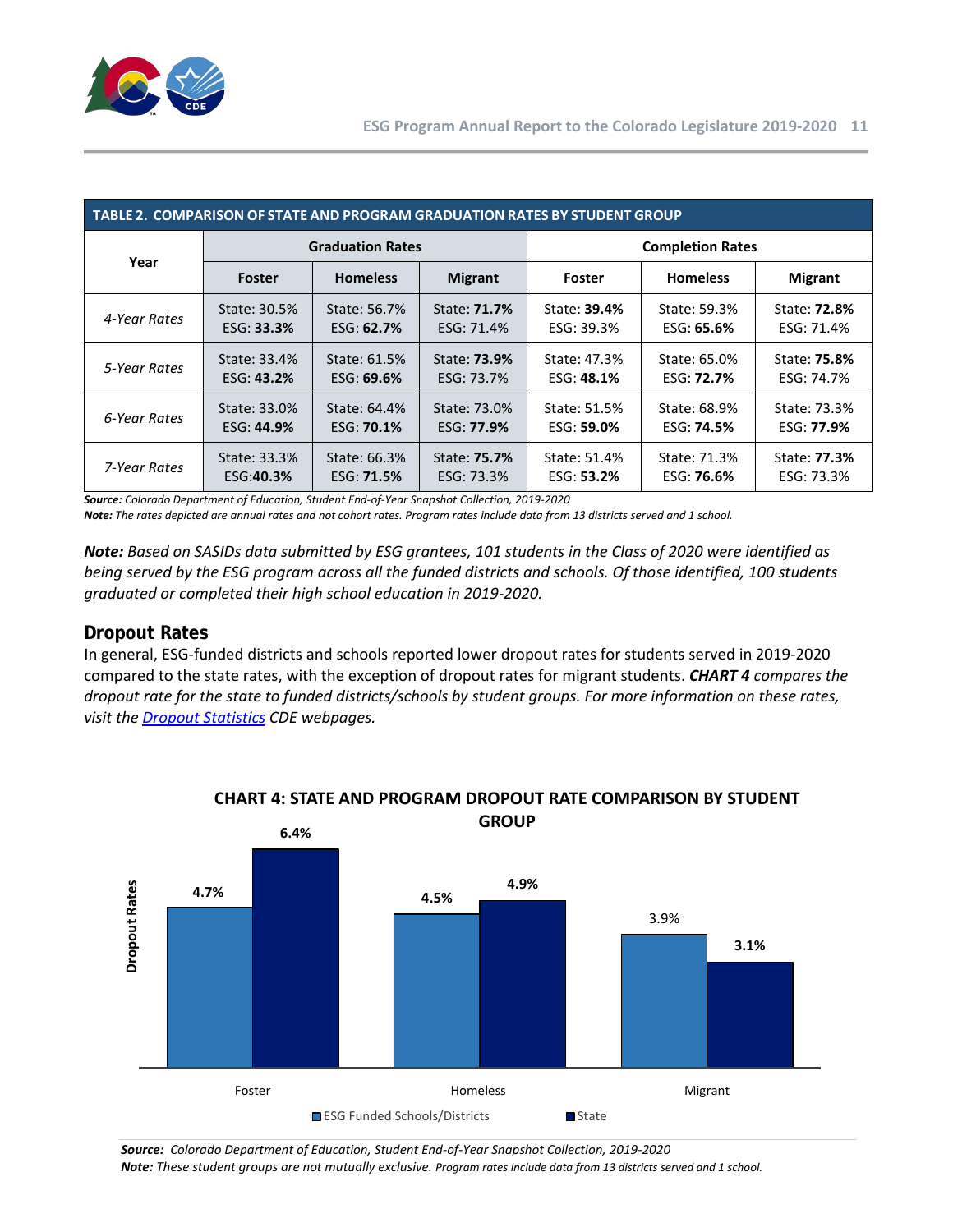

| TABLE 2. COMPARISON OF STATE AND PROGRAM GRADUATION RATES BY STUDENT GROUP |                         |                   |                     |                         |                   |                     |  |  |  |
|----------------------------------------------------------------------------|-------------------------|-------------------|---------------------|-------------------------|-------------------|---------------------|--|--|--|
| Year                                                                       | <b>Graduation Rates</b> |                   |                     | <b>Completion Rates</b> |                   |                     |  |  |  |
|                                                                            | <b>Foster</b>           | <b>Homeless</b>   | <b>Migrant</b>      | Foster                  | <b>Homeless</b>   | <b>Migrant</b>      |  |  |  |
| 4-Year Rates                                                               | State: 30.5%            | State: 56.7%      | State: <b>71.7%</b> | State: 39.4%            | State: 59.3%      | State: <b>72.8%</b> |  |  |  |
|                                                                            | ESG: 33.3%              | ESG: $62.7%$      | ESG: 71.4%          | ESG: 39.3%              | ESG: 65.6%        | ESG: 71.4%          |  |  |  |
| 5-Year Rates                                                               | State: 33.4%            | State: 61.5%      | State: <b>73.9%</b> | State: 47.3%            | State: 65.0%      | State: 75.8%        |  |  |  |
|                                                                            | ESG: 43.2%              | ESG: $69.6%$      | ESG: 73.7%          | ESG: 48.1%              | ESG: <b>72.7%</b> | ESG: 74.7%          |  |  |  |
| 6-Year Rates                                                               | State: 33.0%            | State: 64.4%      | State: 73.0%        | State: 51.5%            | State: 68.9%      | State: 73.3%        |  |  |  |
|                                                                            | ESG: 44.9%              | ESG: <b>70.1%</b> | ESG: <b>77.9%</b>   | ESG: 59.0%              | ESG: <b>74.5%</b> | ESG: 77.9%          |  |  |  |
| 7-Year Rates                                                               | State: 33.3%            | State: 66.3%      | State: <b>75.7%</b> | State: 51.4%            | State: 71.3%      | State: <b>77.3%</b> |  |  |  |
|                                                                            | ESG:40.3%               | ESG: <b>71.5%</b> | ESG: 73.3%          | ESG: 53.2%              | ESG: <b>76.6%</b> | ESG: 73.3%          |  |  |  |

*Source: Colorado Department of Education, Student End-of-Year Snapshot Collection, 2019-2020*

*Note: The rates depicted are annual rates and not cohort rates. Program rates include data from 13 districts served and 1 school.* 

*Note: Based on SASIDs data submitted by ESG grantees, 101 students in the Class of 2020 were identified as being served by the ESG program across all the funded districts and schools. Of those identified, 100 students graduated or completed their high school education in 2019-2020.* 

# **Dropout Rates**

In general, ESG-funded districts and schools reported lower dropout rates for students served in 2019-2020 compared to the state rates, with the exception of dropout rates for migrant students. *CHART 4 compares the dropout rate for the state to funded districts/schools by student groups. For more information on these rates, visit th[e Dropout Statistics](https://www.cde.state.co.us/cdereval/gradcurrent) CDE webpages.*



#### **CHART 4: STATE AND PROGRAM DROPOUT RATE COMPARISON BY STUDENT GROUP**

*Source: Colorado Department of Education, Student End-of-Year Snapshot Collection, 2019-2020 Note: These student groups are not mutually exclusive. Program rates include data from 13 districts served and 1 school.*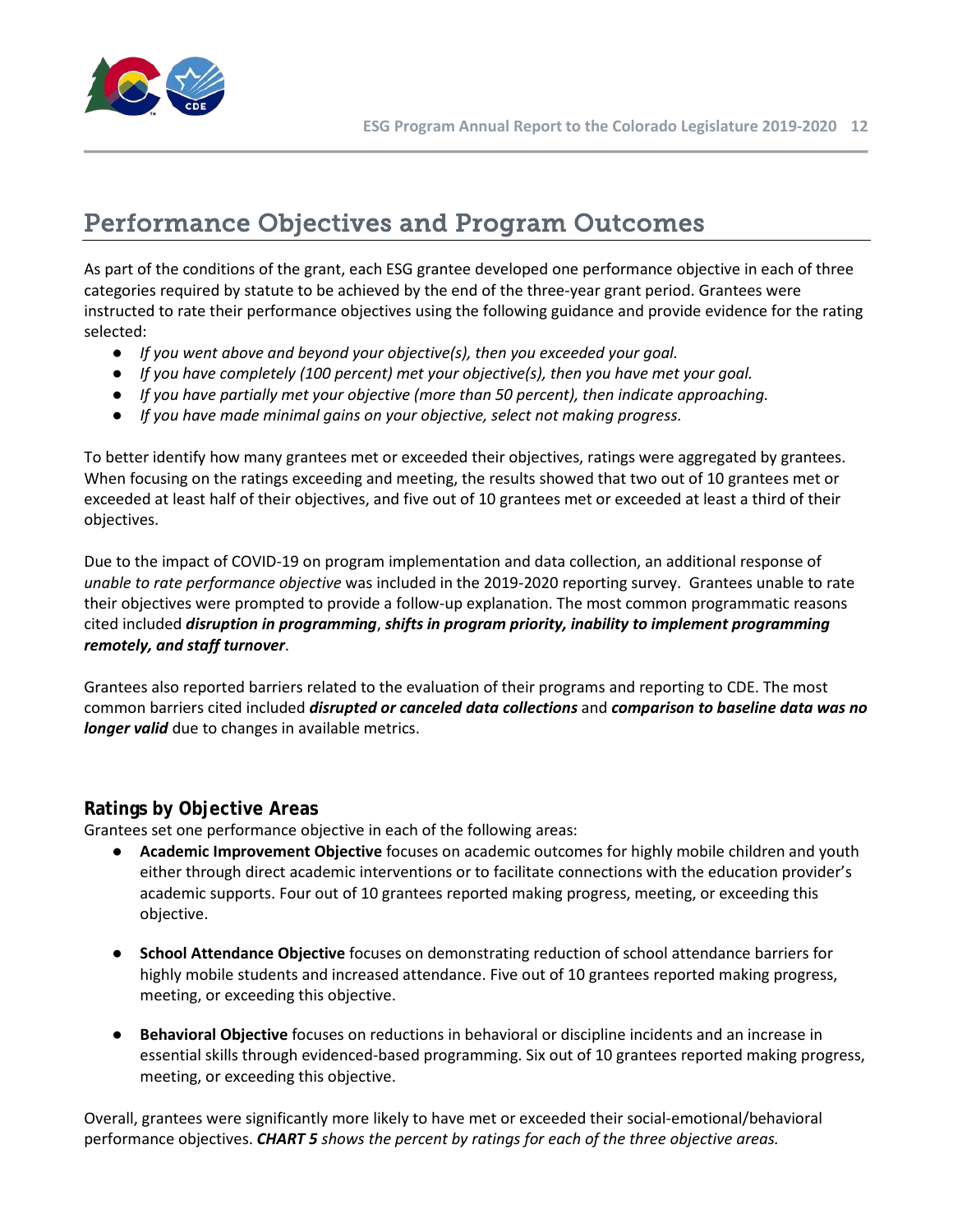

# <span id="page-11-0"></span>Performance Objectives and Program Outcomes

As part of the conditions of the grant, each ESG grantee developed one performance objective in each of three categories required by statute to be achieved by the end of the three-year grant period. Grantees were instructed to rate their performance objectives using the following guidance and provide evidence for the rating selected:

- *If you went above and beyond your objective(s), then you exceeded your goal.*
- *If you have completely (100 percent) met your objective(s), then you have met your goal.*
- *If you have partially met your objective (more than 50 percent), then indicate approaching.*
- *If you have made minimal gains on your objective, select not making progress.*

To better identify how many grantees met or exceeded their objectives, ratings were aggregated by grantees. When focusing on the ratings exceeding and meeting, the results showed that two out of 10 grantees met or exceeded at least half of their objectives, and five out of 10 grantees met or exceeded at least a third of their objectives.

Due to the impact of COVID-19 on program implementation and data collection, an additional response of *unable to rate performance objective* was included in the 2019-2020 reporting survey. Grantees unable to rate their objectives were prompted to provide a follow-up explanation. The most common programmatic reasons cited included *disruption in programming*, *shifts in program priority, inability to implement programming remotely, and staff turnover*.

Grantees also reported barriers related to the evaluation of their programs and reporting to CDE. The most common barriers cited included *disrupted or canceled data collections* and *comparison to baseline data was no longer valid* due to changes in available metrics.

### **Ratings by Objective Areas**

Grantees set one performance objective in each of the following areas:

- **Academic Improvement Objective** focuses on academic outcomes for highly mobile children and youth either through direct academic interventions or to facilitate connections with the education provider's academic supports. Four out of 10 grantees reported making progress, meeting, or exceeding this objective.
- **School Attendance Objective** focuses on demonstrating reduction of school attendance barriers for highly mobile students and increased attendance. Five out of 10 grantees reported making progress, meeting, or exceeding this objective.
- **Behavioral Objective** focuses on reductions in behavioral or discipline incidents and an increase in essential skills through evidenced-based programming. Six out of 10 grantees reported making progress, meeting, or exceeding this objective.

Overall, grantees were significantly more likely to have met or exceeded their social-emotional/behavioral performance objectives. *CHART 5 shows the percent by ratings for each of the three objective areas.*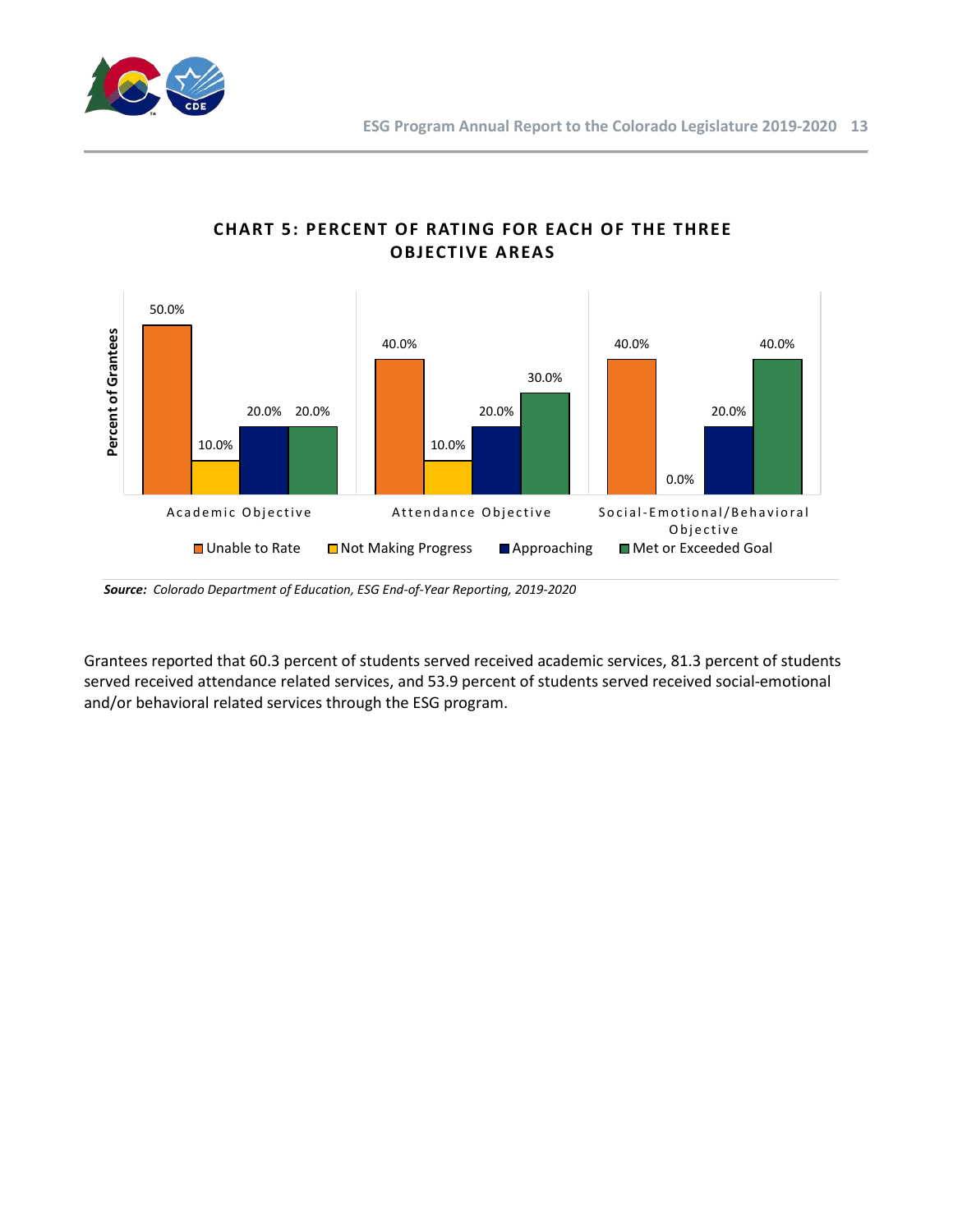



# **CHART 5: PERCENT OF RATING FOR EACH OF THE THREE OBJECTIVE AREAS**

*Source: Colorado Department of Education, ESG End-of-Year Reporting, 2019-2020*

Grantees reported that 60.3 percent of students served received academic services, 81.3 percent of students served received attendance related services, and 53.9 percent of students served received social-emotional and/or behavioral related services through the ESG program.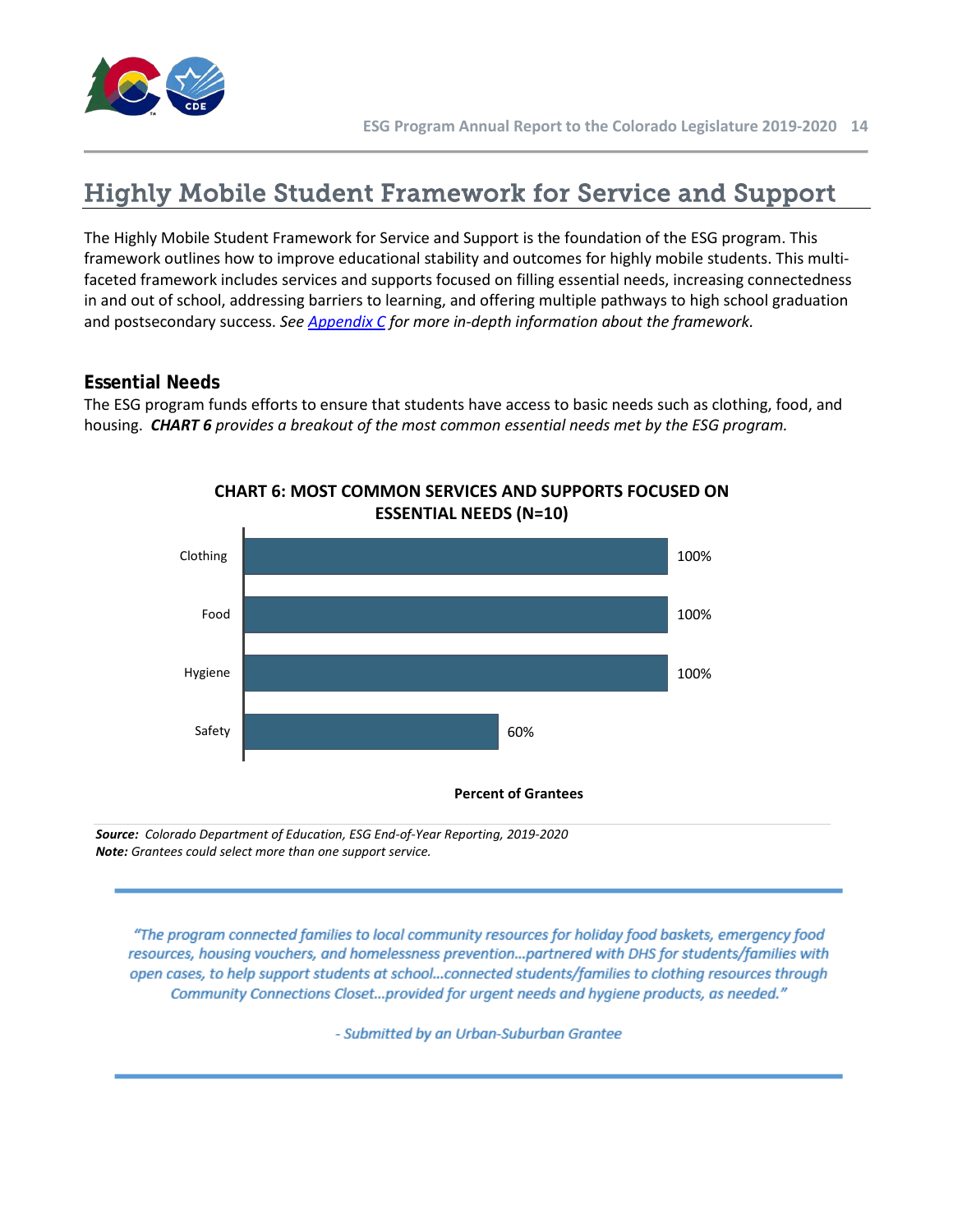

# <span id="page-13-0"></span>Highly Mobile Student Framework for Service and Support

The Highly Mobile Student Framework for Service and Support is the foundation of the ESG program. This framework outlines how to improve educational stability and outcomes for highly mobile students. This multifaceted framework includes services and supports focused on filling essential needs, increasing connectedness in and out of school, addressing barriers to learning, and offering multiple pathways to high school graduation and postsecondary success. *See Appendix C for more in-depth information about the framework.* 

# **Essential Needs**

The ESG program funds efforts to ensure that students have access to basic needs such as clothing, food, and housing. *CHART 6 provides a breakout of the most common essential needs met by the ESG program.* 



**CHART 6: MOST COMMON SERVICES AND SUPPORTS FOCUSED ON ESSENTIAL NEEDS (N=10)**

*Source: Colorado Department of Education, ESG End-of-Year Reporting, 2019-2020 Note: Grantees could select more than one support service.* 

"The program connected families to local community resources for holiday food baskets, emergency food resources, housing vouchers, and homelessness prevention...partnered with DHS for students/families with open cases, to help support students at school...connected students/families to clothing resources through Community Connections Closet...provided for urgent needs and hygiene products, as needed."

- Submitted by an Urban-Suburban Grantee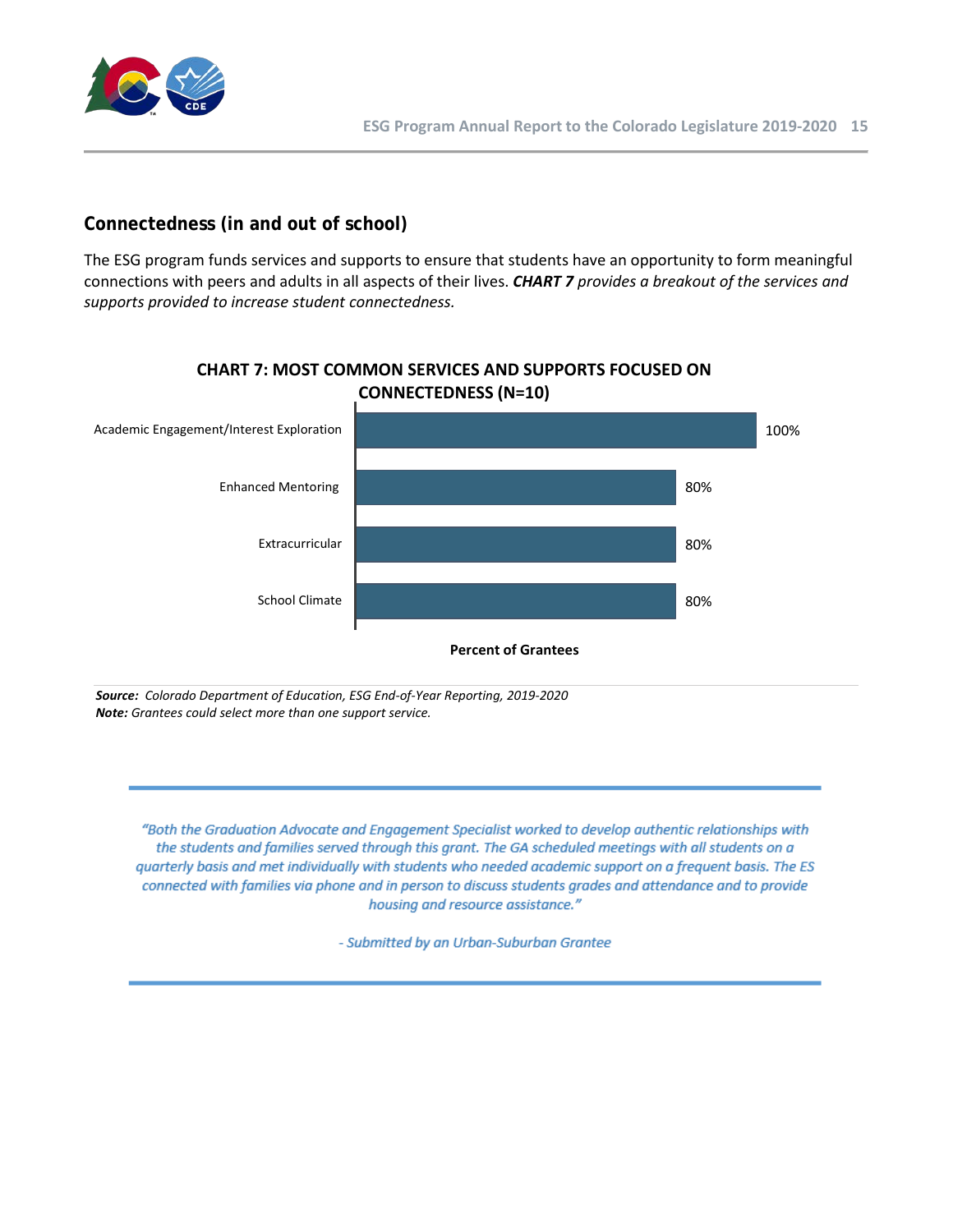

# **Connectedness (in and out of school)**

The ESG program funds services and supports to ensure that students have an opportunity to form meaningful connections with peers and adults in all aspects of their lives. *CHART 7 provides a breakout of the services and supports provided to increase student connectedness.* 



# **CHART 7: MOST COMMON SERVICES AND SUPPORTS FOCUSED ON**

*Source: Colorado Department of Education, ESG End-of-Year Reporting, 2019-2020 Note: Grantees could select more than one support service.* 

"Both the Graduation Advocate and Engagement Specialist worked to develop authentic relationships with the students and families served through this grant. The GA scheduled meetings with all students on a quarterly basis and met individually with students who needed academic support on a frequent basis. The ES connected with families via phone and in person to discuss students grades and attendance and to provide housing and resource assistance."

- Submitted by an Urban-Suburban Grantee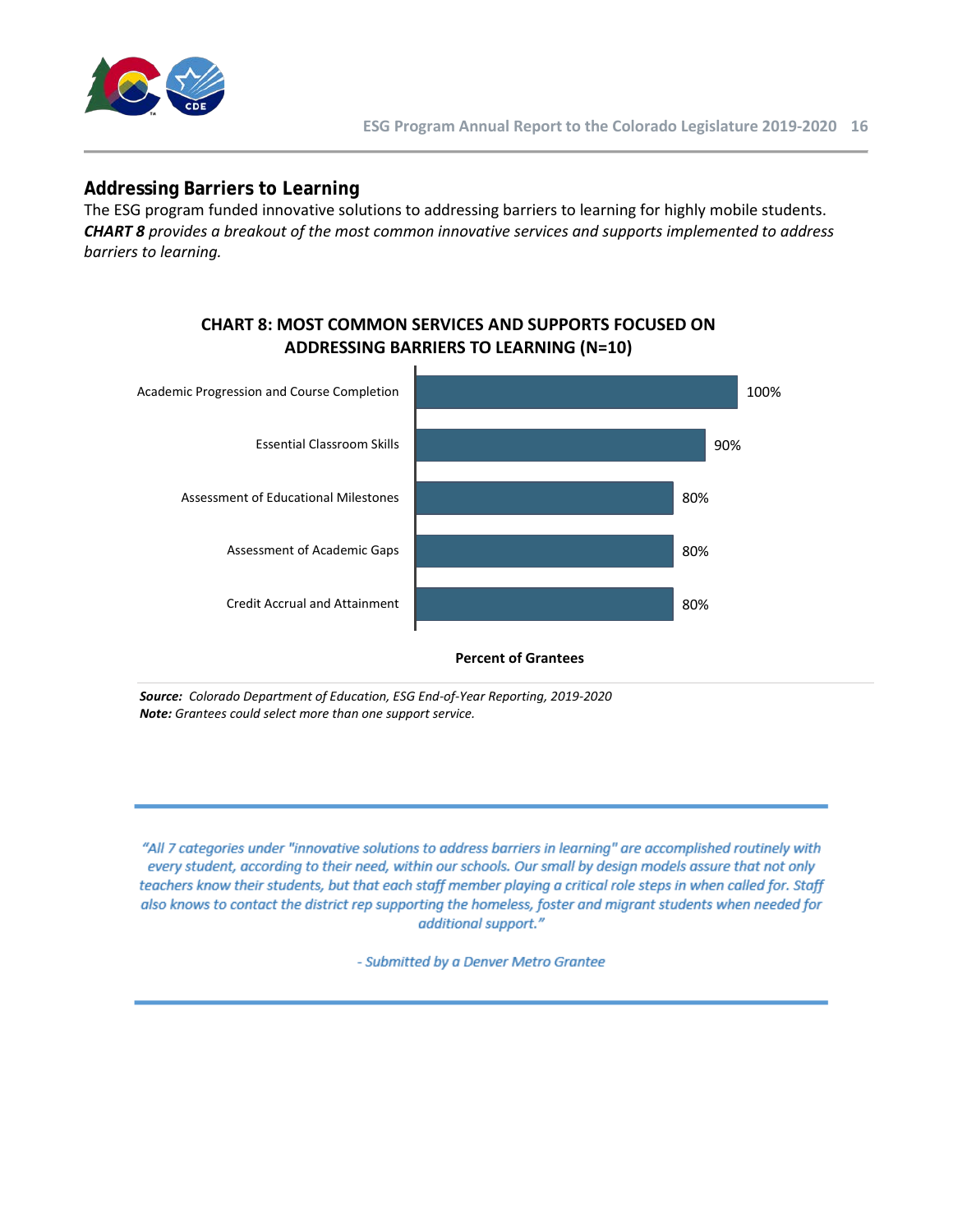

### **Addressing Barriers to Learning**

The ESG program funded innovative solutions to addressing barriers to learning for highly mobile students. *CHART 8 provides a breakout of the most common innovative services and supports implemented to address barriers to learning.*



### **CHART 8: MOST COMMON SERVICES AND SUPPORTS FOCUSED ON ADDRESSING BARRIERS TO LEARNING (N=10)**

**Percent of Grantees**

*Source: Colorado Department of Education, ESG End-of-Year Reporting, 2019-2020 Note: Grantees could select more than one support service.* 

"All 7 categories under "innovative solutions to address barriers in learning" are accomplished routinely with every student, according to their need, within our schools. Our small by design models assure that not only teachers know their students, but that each staff member playing a critical role steps in when called for. Staff also knows to contact the district rep supporting the homeless, foster and migrant students when needed for additional support."

- Submitted by a Denver Metro Grantee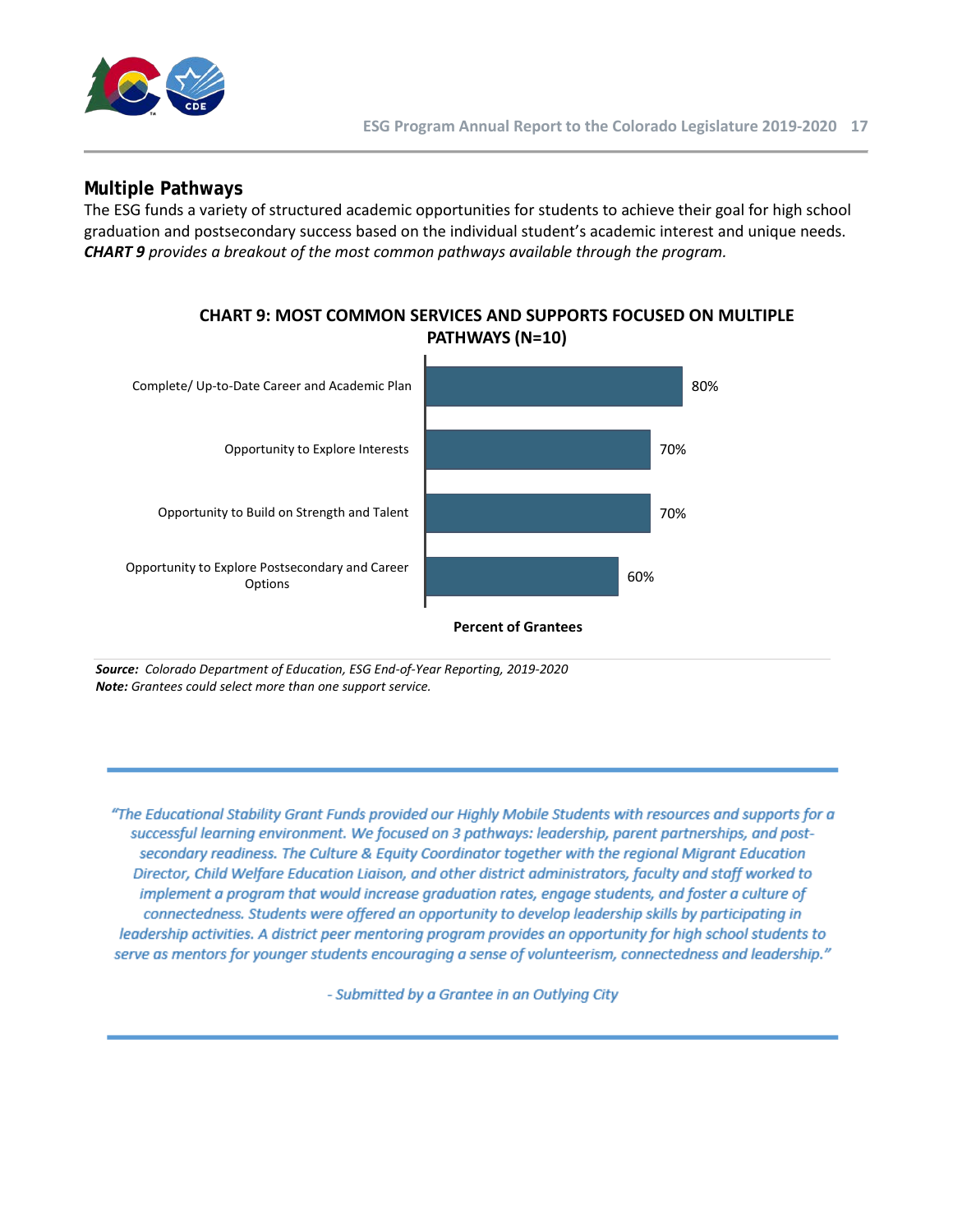

### **Multiple Pathways**

The ESG funds a variety of structured academic opportunities for students to achieve their goal for high school graduation and postsecondary success based on the individual student's academic interest and unique needs. *CHART 9 provides a breakout of the most common pathways available through the program.*



*Source: Colorado Department of Education, ESG End-of-Year Reporting, 2019-2020 Note: Grantees could select more than one support service.* 

"The Educational Stability Grant Funds provided our Highly Mobile Students with resources and supports for a successful learning environment. We focused on 3 pathways: leadership, parent partnerships, and postsecondary readiness. The Culture & Equity Coordinator together with the regional Migrant Education Director, Child Welfare Education Liaison, and other district administrators, faculty and staff worked to implement a program that would increase graduation rates, engage students, and foster a culture of connectedness. Students were offered an opportunity to develop leadership skills by participating in leadership activities. A district peer mentoring program provides an opportunity for high school students to serve as mentors for younger students encouraging a sense of volunteerism, connectedness and leadership."

- Submitted by a Grantee in an Outlying City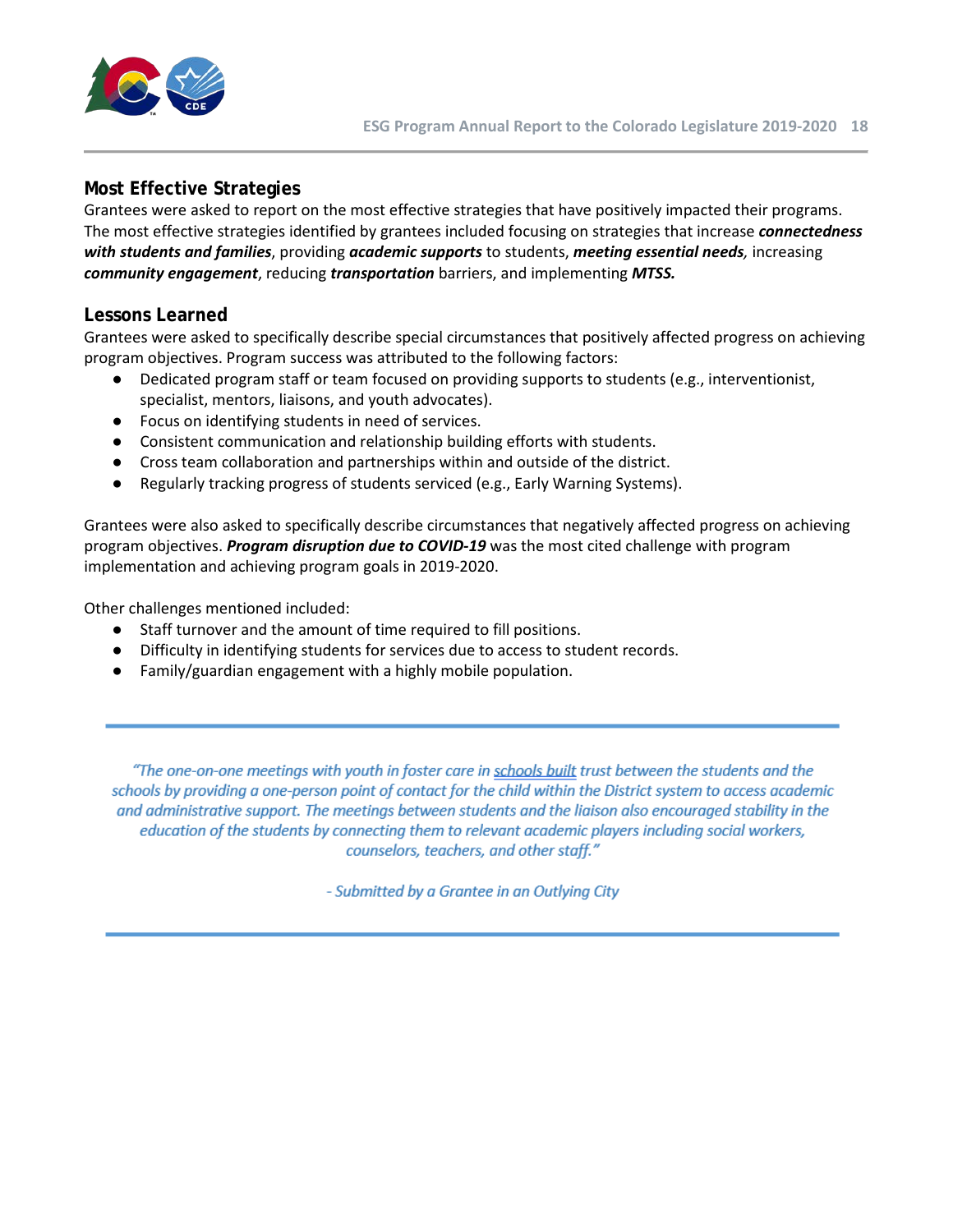

# **Most Effective Strategies**

Grantees were asked to report on the most effective strategies that have positively impacted their programs. The most effective strategies identified by grantees included focusing on strategies that increase *connectedness with students and families*, providing *academic supports* to students, *meeting essential needs,* increasing *community engagement*, reducing *transportation* barriers, and implementing *MTSS.*

### **Lessons Learned**

Grantees were asked to specifically describe special circumstances that positively affected progress on achieving program objectives. Program success was attributed to the following factors:

- Dedicated program staff or team focused on providing supports to students (e.g., interventionist, specialist, mentors, liaisons, and youth advocates).
- Focus on identifying students in need of services.
- Consistent communication and relationship building efforts with students.
- Cross team collaboration and partnerships within and outside of the district.
- Regularly tracking progress of students serviced (e.g., Early Warning Systems).

Grantees were also asked to specifically describe circumstances that negatively affected progress on achieving program objectives. *Program disruption due to COVID-19* was the most cited challenge with program implementation and achieving program goals in 2019-2020.

Other challenges mentioned included:

- Staff turnover and the amount of time required to fill positions.
- Difficulty in identifying students for services due to access to student records.
- Family/guardian engagement with a highly mobile population.

"The one-on-one meetings with youth in foster care in schools built trust between the students and the schools by providing a one-person point of contact for the child within the District system to access academic and administrative support. The meetings between students and the liaison also encouraged stability in the education of the students by connecting them to relevant academic players including social workers, counselors, teachers, and other staff."

- Submitted by a Grantee in an Outlying City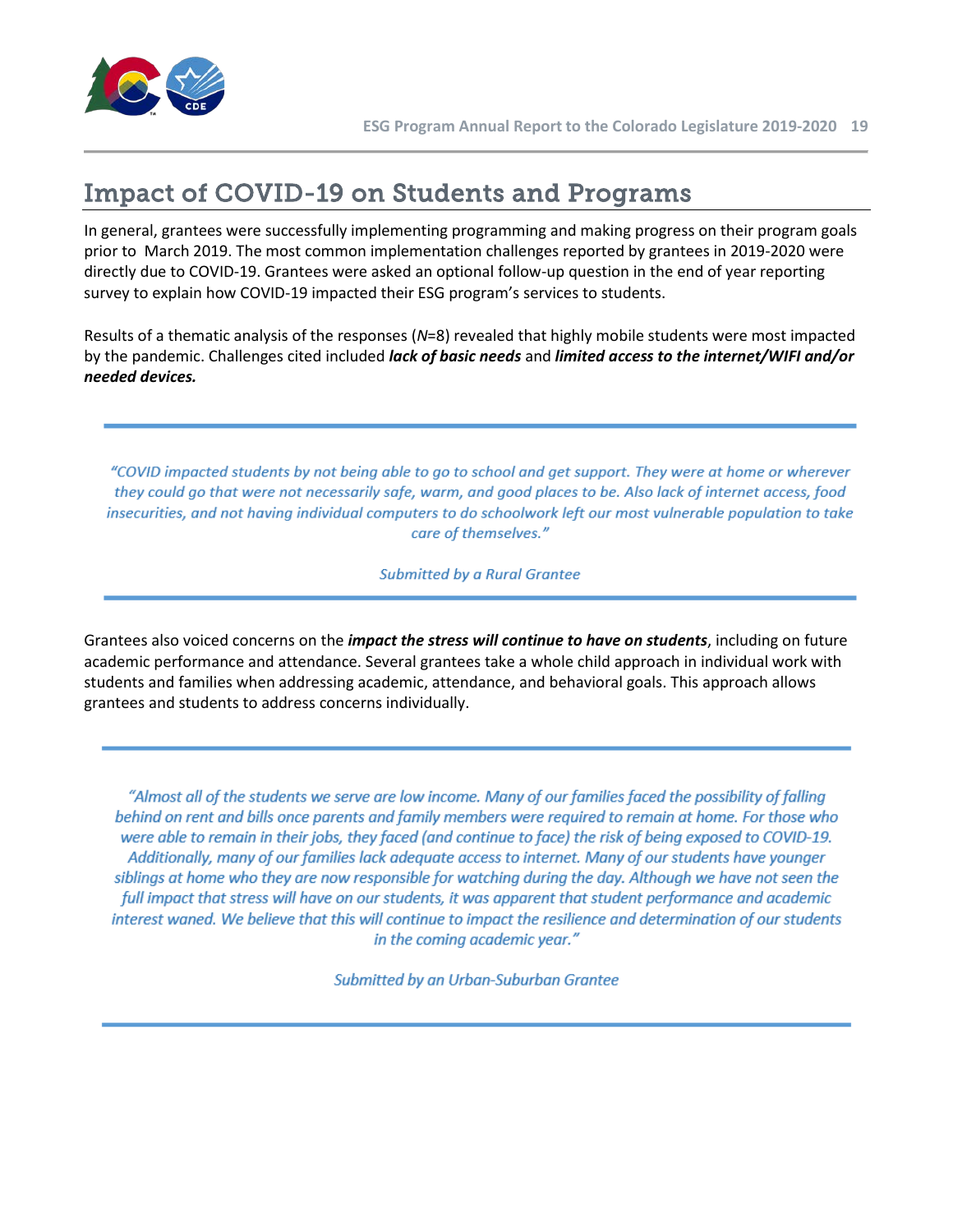

# <span id="page-18-0"></span>Impact of COVID-19 on Students and Programs

In general, grantees were successfully implementing programming and making progress on their program goals prior to March 2019. The most common implementation challenges reported by grantees in 2019-2020 were directly due to COVID-19. Grantees were asked an optional follow-up question in the end of year reporting survey to explain how COVID-19 impacted their ESG program's services to students.

Results of a thematic analysis of the responses (*N*=8) revealed that highly mobile students were most impacted by the pandemic. Challenges cited included *lack of basic needs* and *limited access to the internet/WIFI and/or needed devices.*

"COVID impacted students by not being able to go to school and get support. They were at home or wherever they could go that were not necessarily safe, warm, and good places to be. Also lack of internet access, food insecurities, and not having individual computers to do schoolwork left our most vulnerable population to take care of themselves."

**Submitted by a Rural Grantee** 

Grantees also voiced concerns on the *impact the stress will continue to have on students*, including on future academic performance and attendance. Several grantees take a whole child approach in individual work with students and families when addressing academic, attendance, and behavioral goals. This approach allows grantees and students to address concerns individually.

"Almost all of the students we serve are low income. Many of our families faced the possibility of falling behind on rent and bills once parents and family members were required to remain at home. For those who were able to remain in their jobs, they faced (and continue to face) the risk of being exposed to COVID-19. Additionally, many of our families lack adequate access to internet. Many of our students have younger siblings at home who they are now responsible for watching during the day. Although we have not seen the full impact that stress will have on our students, it was apparent that student performance and academic interest waned. We believe that this will continue to impact the resilience and determination of our students in the coming academic year."

Submitted by an Urban-Suburban Grantee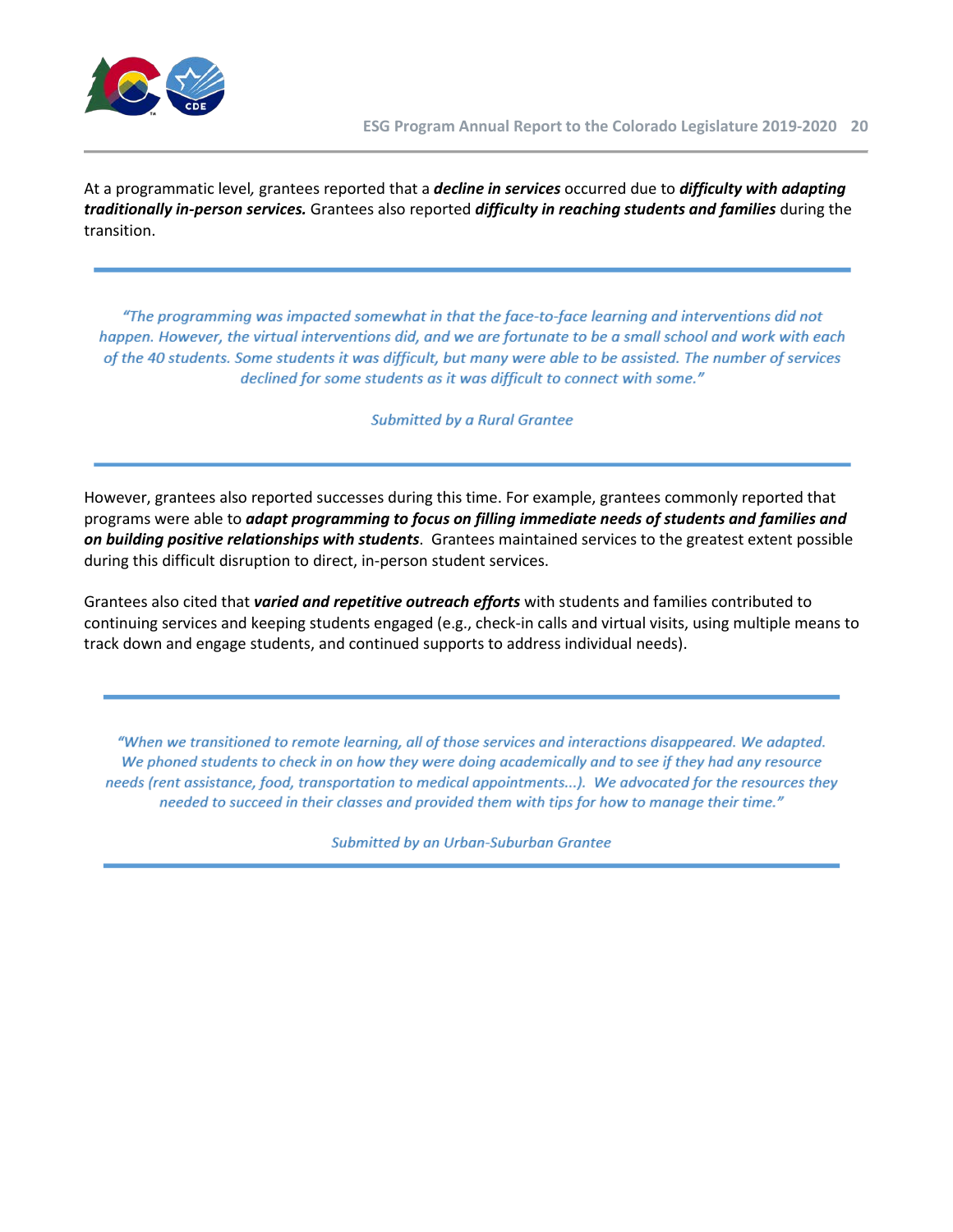

At a programmatic level*,* grantees reported that a *decline in services* occurred due to *difficulty with adapting traditionally in-person services.* Grantees also reported *difficulty in reaching students and families* during the transition.

"The programming was impacted somewhat in that the face-to-face learning and interventions did not happen. However, the virtual interventions did, and we are fortunate to be a small school and work with each of the 40 students. Some students it was difficult, but many were able to be assisted. The number of services declined for some students as it was difficult to connect with some."

**Submitted by a Rural Grantee** 

However, grantees also reported successes during this time. For example, grantees commonly reported that programs were able to *adapt programming to focus on filling immediate needs of students and families and on building positive relationships with students*. Grantees maintained services to the greatest extent possible during this difficult disruption to direct, in-person student services.

Grantees also cited that *varied and repetitive outreach efforts* with students and families contributed to continuing services and keeping students engaged (e.g., check-in calls and virtual visits, using multiple means to track down and engage students, and continued supports to address individual needs).

"When we transitioned to remote learning, all of those services and interactions disappeared. We adapted. We phoned students to check in on how they were doing academically and to see if they had any resource needs (rent assistance, food, transportation to medical appointments...). We advocated for the resources they needed to succeed in their classes and provided them with tips for how to manage their time."

Submitted by an Urban-Suburban Grantee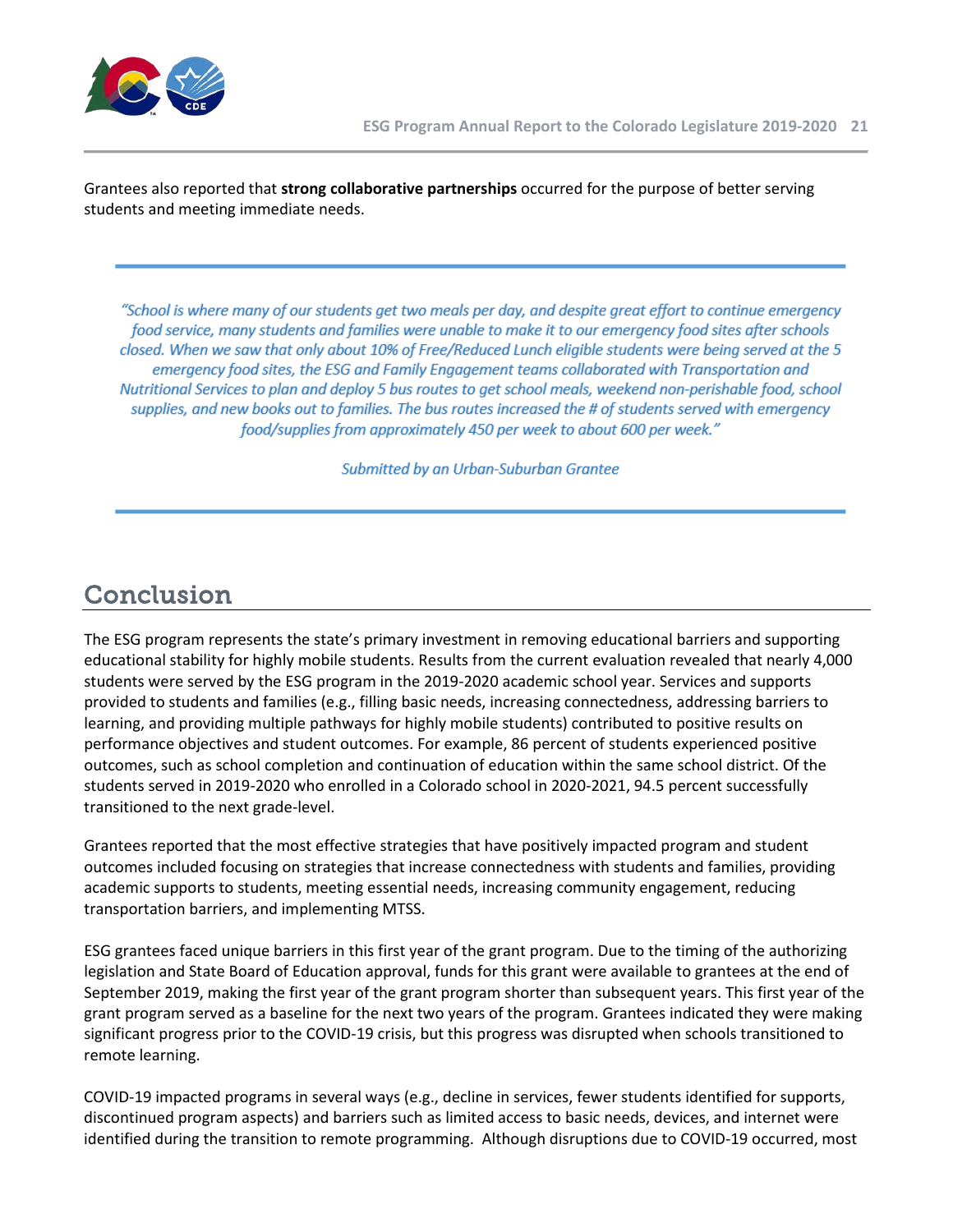

Grantees also reported that **strong collaborative partnerships** occurred for the purpose of better serving students and meeting immediate needs.

"School is where many of our students get two meals per day, and despite great effort to continue emergency food service, many students and families were unable to make it to our emergency food sites after schools closed. When we saw that only about 10% of Free/Reduced Lunch eligible students were being served at the 5 emergency food sites, the ESG and Family Engagement teams collaborated with Transportation and Nutritional Services to plan and deploy 5 bus routes to get school meals, weekend non-perishable food, school supplies, and new books out to families. The bus routes increased the # of students served with emergency food/supplies from approximately 450 per week to about 600 per week."

Submitted by an Urban-Suburban Grantee

# <span id="page-20-0"></span>Conclusion

The ESG program represents the state's primary investment in removing educational barriers and supporting educational stability for highly mobile students. Results from the current evaluation revealed that nearly 4,000 students were served by the ESG program in the 2019-2020 academic school year. Services and supports provided to students and families (e.g., filling basic needs, increasing connectedness, addressing barriers to learning, and providing multiple pathways for highly mobile students) contributed to positive results on performance objectives and student outcomes. For example, 86 percent of students experienced positive outcomes, such as school completion and continuation of education within the same school district. Of the students served in 2019-2020 who enrolled in a Colorado school in 2020-2021, 94.5 percent successfully transitioned to the next grade-level.

Grantees reported that the most effective strategies that have positively impacted program and student outcomes included focusing on strategies that increase connectedness with students and families, providing academic supports to students, meeting essential needs, increasing community engagement, reducing transportation barriers, and implementing MTSS.

ESG grantees faced unique barriers in this first year of the grant program. Due to the timing of the authorizing legislation and State Board of Education approval, funds for this grant were available to grantees at the end of September 2019, making the first year of the grant program shorter than subsequent years. This first year of the grant program served as a baseline for the next two years of the program. Grantees indicated they were making significant progress prior to the COVID-19 crisis, but this progress was disrupted when schools transitioned to remote learning.

COVID-19 impacted programs in several ways (e.g., decline in services, fewer students identified for supports, discontinued program aspects) and barriers such as limited access to basic needs, devices, and internet were identified during the transition to remote programming. Although disruptions due to COVID-19 occurred, most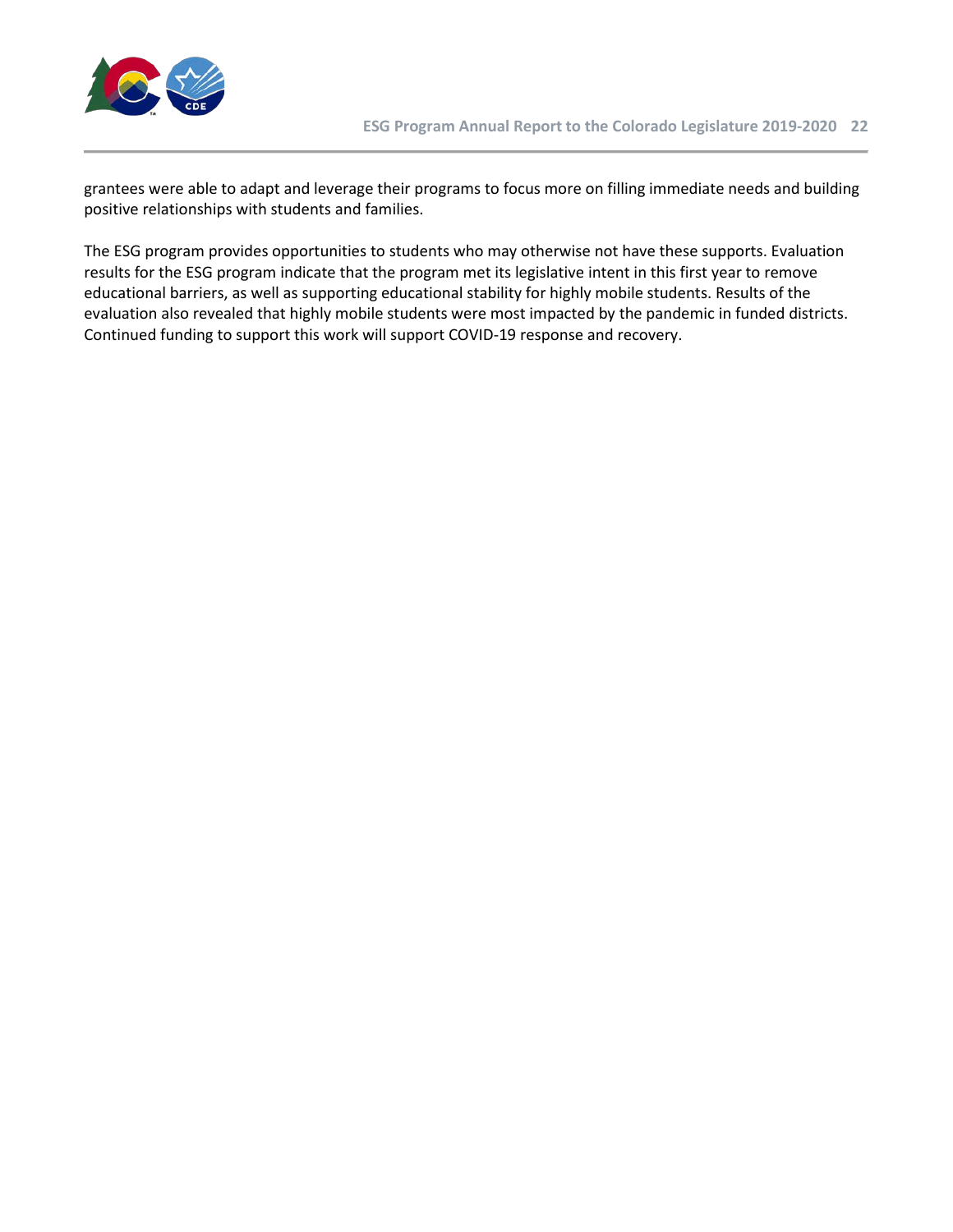

grantees were able to adapt and leverage their programs to focus more on filling immediate needs and building positive relationships with students and families.

The ESG program provides opportunities to students who may otherwise not have these supports. Evaluation results for the ESG program indicate that the program met its legislative intent in this first year to remove educational barriers, as well as supporting educational stability for highly mobile students. Results of the evaluation also revealed that highly mobile students were most impacted by the pandemic in funded districts. Continued funding to support this work will support COVID-19 response and recovery.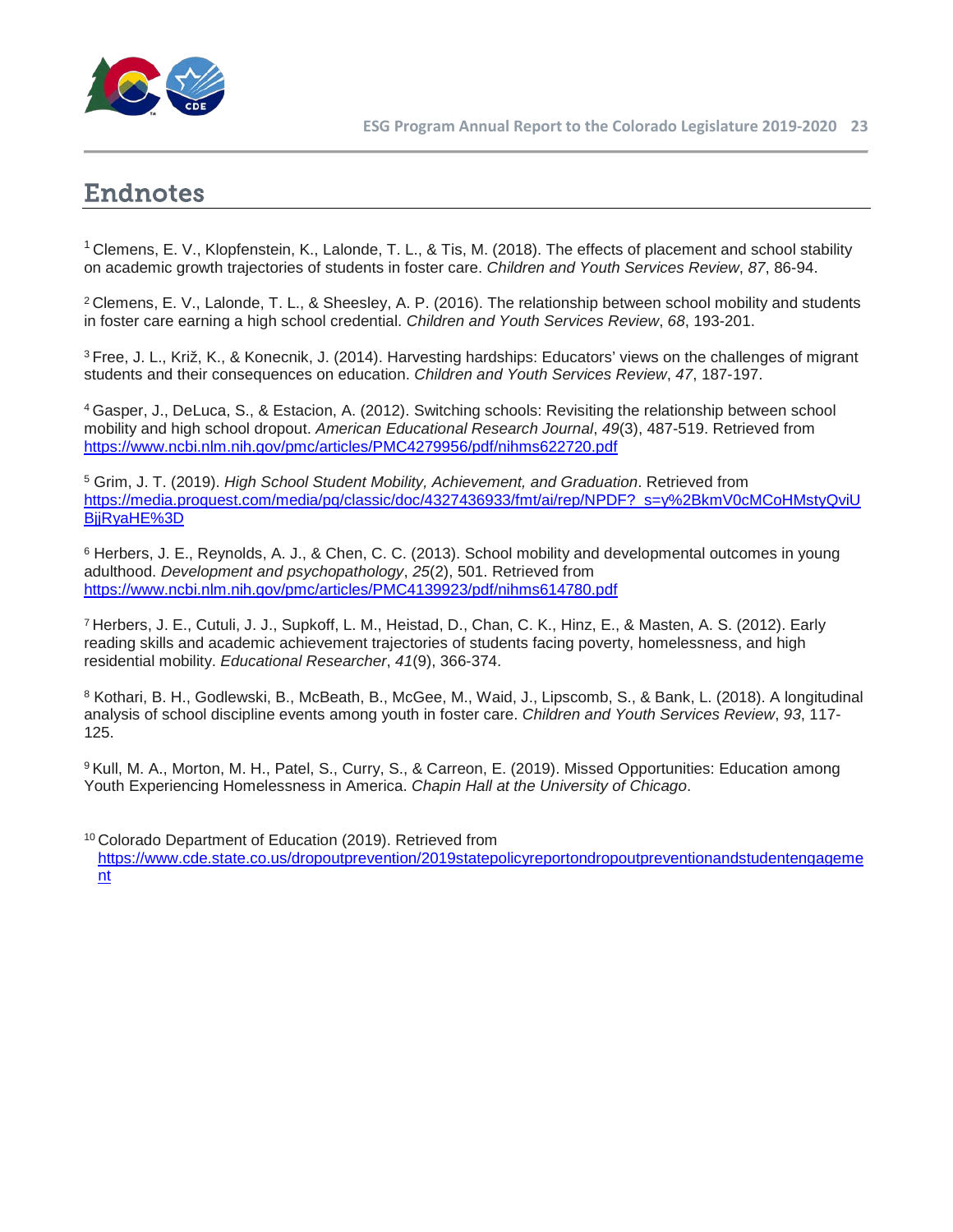

# <span id="page-22-0"></span>Endnotes

<sup>1</sup> Clemens, E. V., Klopfenstein, K., Lalonde, T. L., & Tis, M. (2018). The effects of placement and school stability on academic growth trajectories of students in foster care. *Children and Youth Services Review*, *87*, 86-94.

2 Clemens, E. V., Lalonde, T. L., & Sheesley, A. P. (2016). The relationship between school mobility and students in foster care earning a high school credential. *Children and Youth Services Review*, *68*, 193-201.

3 Free, J. L., Križ, K., & Konecnik, J. (2014). Harvesting hardships: Educators' views on the challenges of migrant students and their consequences on education. *Children and Youth Services Review*, *47*, 187-197.

4 Gasper, J., DeLuca, S., & Estacion, A. (2012). Switching schools: Revisiting the relationship between school mobility and high school dropout. *American Educational Research Journal*, *49*(3), 487-519. Retrieved from <https://www.ncbi.nlm.nih.gov/pmc/articles/PMC4279956/pdf/nihms622720.pdf>

<sup>5</sup> Grim, J. T. (2019). *High School Student Mobility, Achievement, and Graduation*. Retrieved from [https://media.proquest.com/media/pq/classic/doc/4327436933/fmt/ai/rep/NPDF?\\_s=y%2BkmV0cMCoHMstyQviU](https://media.proquest.com/media/pq/classic/doc/4327436933/fmt/ai/rep/NPDF?_s=y%2BkmV0cMCoHMstyQviUBjjRyaHE%3D) [BjjRyaHE%3D](https://media.proquest.com/media/pq/classic/doc/4327436933/fmt/ai/rep/NPDF?_s=y%2BkmV0cMCoHMstyQviUBjjRyaHE%3D)

<sup>6</sup> Herbers, J. E., Reynolds, A. J., & Chen, C. C. (2013). School mobility and developmental outcomes in young adulthood. *Development and psychopathology*, *25*(2), 501. Retrieved from <https://www.ncbi.nlm.nih.gov/pmc/articles/PMC4139923/pdf/nihms614780.pdf>

7 Herbers, J. E., Cutuli, J. J., Supkoff, L. M., Heistad, D., Chan, C. K., Hinz, E., & Masten, A. S. (2012). Early reading skills and academic achievement trajectories of students facing poverty, homelessness, and high residential mobility. *Educational Researcher*, *41*(9), 366-374.

<sup>8</sup> Kothari, B. H., Godlewski, B., McBeath, B., McGee, M., Waid, J., Lipscomb, S., & Bank, L. (2018). A longitudinal analysis of school discipline events among youth in foster care. *Children and Youth Services Review*, *93*, 117- 125.

9 Kull, M. A., Morton, M. H., Patel, S., Curry, S., & Carreon, E. (2019). Missed Opportunities: Education among Youth Experiencing Homelessness in America. *Chapin Hall at the University of Chicago*.

<sup>10</sup> Colorado Department of Education (2019). Retrieved from [https://www.cde.state.co.us/dropoutprevention/2019statepolicyreportondropoutpreventionandstudentengageme](https://www.cde.state.co.us/dropoutprevention/2019statepolicyreportondropoutpreventionandstudentengagement) [nt](https://www.cde.state.co.us/dropoutprevention/2019statepolicyreportondropoutpreventionandstudentengagement)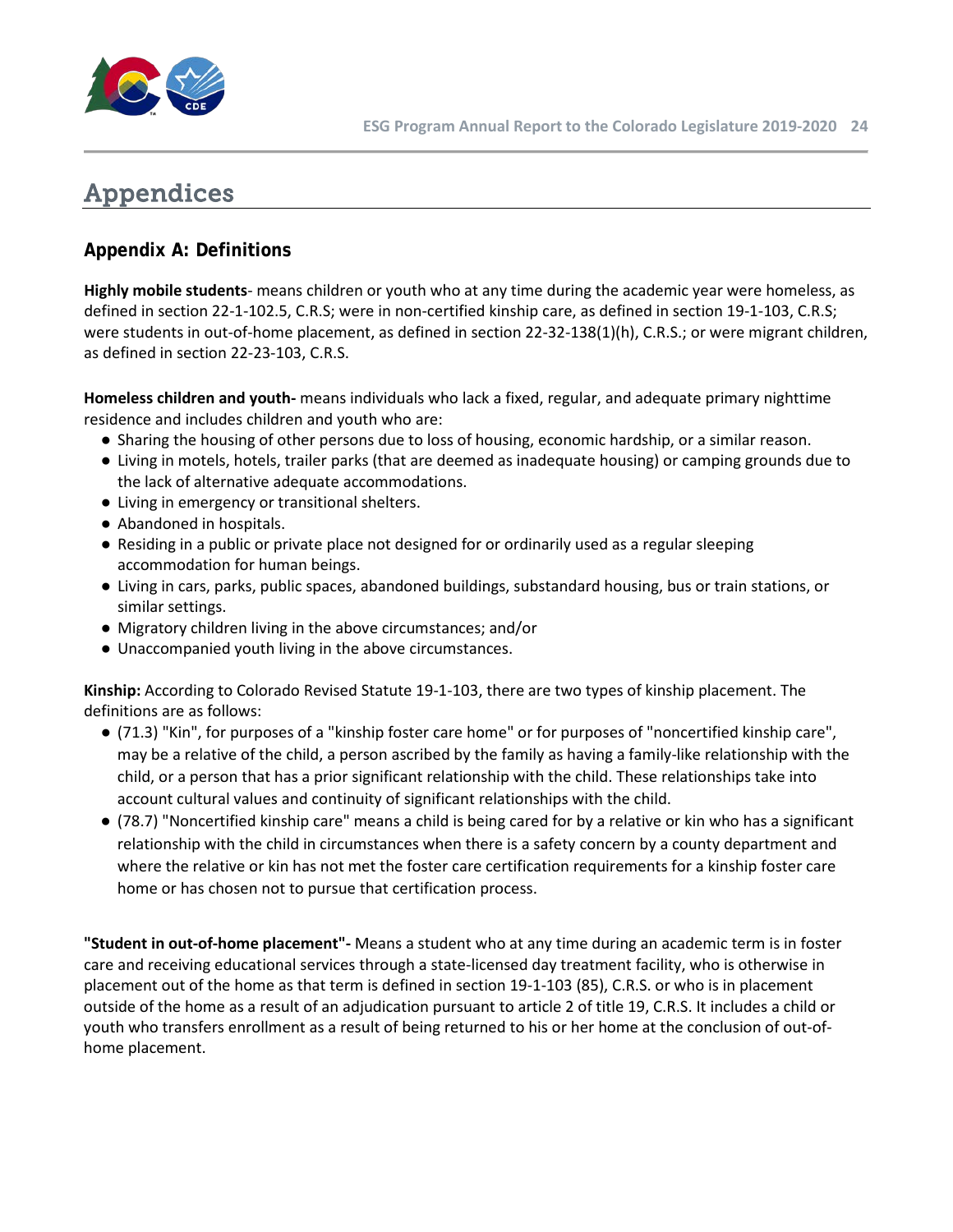

# <span id="page-23-0"></span>Appendices

# **Appendix A: Definitions**

**Highly mobile students**- means children or youth who at any time during the academic year were homeless, as defined in section 22-1-102.5, C.R.S; were in non-certified kinship care, as defined in section 19-1-103, C.R.S; were students in out-of-home placement, as defined in section 22-32-138(1)(h), C.R.S.; or were migrant children, as defined in section 22-23-103, C.R.S.

**Homeless children and youth-** means individuals who lack a fixed, regular, and adequate primary nighttime residence and includes children and youth who are:

- Sharing the housing of other persons due to loss of housing, economic hardship, or a similar reason.
- Living in motels, hotels, trailer parks (that are deemed as inadequate housing) or camping grounds due to the lack of alternative adequate accommodations.
- Living in emergency or transitional shelters.
- Abandoned in hospitals.
- Residing in a public or private place not designed for or ordinarily used as a regular sleeping accommodation for human beings.
- Living in cars, parks, public spaces, abandoned buildings, substandard housing, bus or train stations, or similar settings.
- Migratory children living in the above circumstances; and/or
- Unaccompanied youth living in the above circumstances.

**Kinship:** According to Colorado Revised Statute 19-1-103, there are two types of kinship placement. The definitions are as follows:

- (71.3) "Kin", for purposes of a "kinship foster care home" or for purposes of "noncertified kinship care", may be a relative of the child, a person ascribed by the family as having a family-like relationship with the child, or a person that has a prior significant relationship with the child. These relationships take into account cultural values and continuity of significant relationships with the child.
- (78.7) "Noncertified kinship care" means a child is being cared for by a relative or kin who has a significant relationship with the child in circumstances when there is a safety concern by a county department and where the relative or kin has not met the foster care certification requirements for a kinship foster care home or has chosen not to pursue that certification process.

**"Student in out-of-home placement"-** Means a student who at any time during an academic term is in foster care and receiving educational services through a state-licensed day treatment facility, who is otherwise in placement out of the home as that term is defined in section 19-1-103 (85), C.R.S. or who is in placement outside of the home as a result of an adjudication pursuant to article 2 of title 19, C.R.S. It includes a child or youth who transfers enrollment as a result of being returned to his or her home at the conclusion of out-ofhome placement.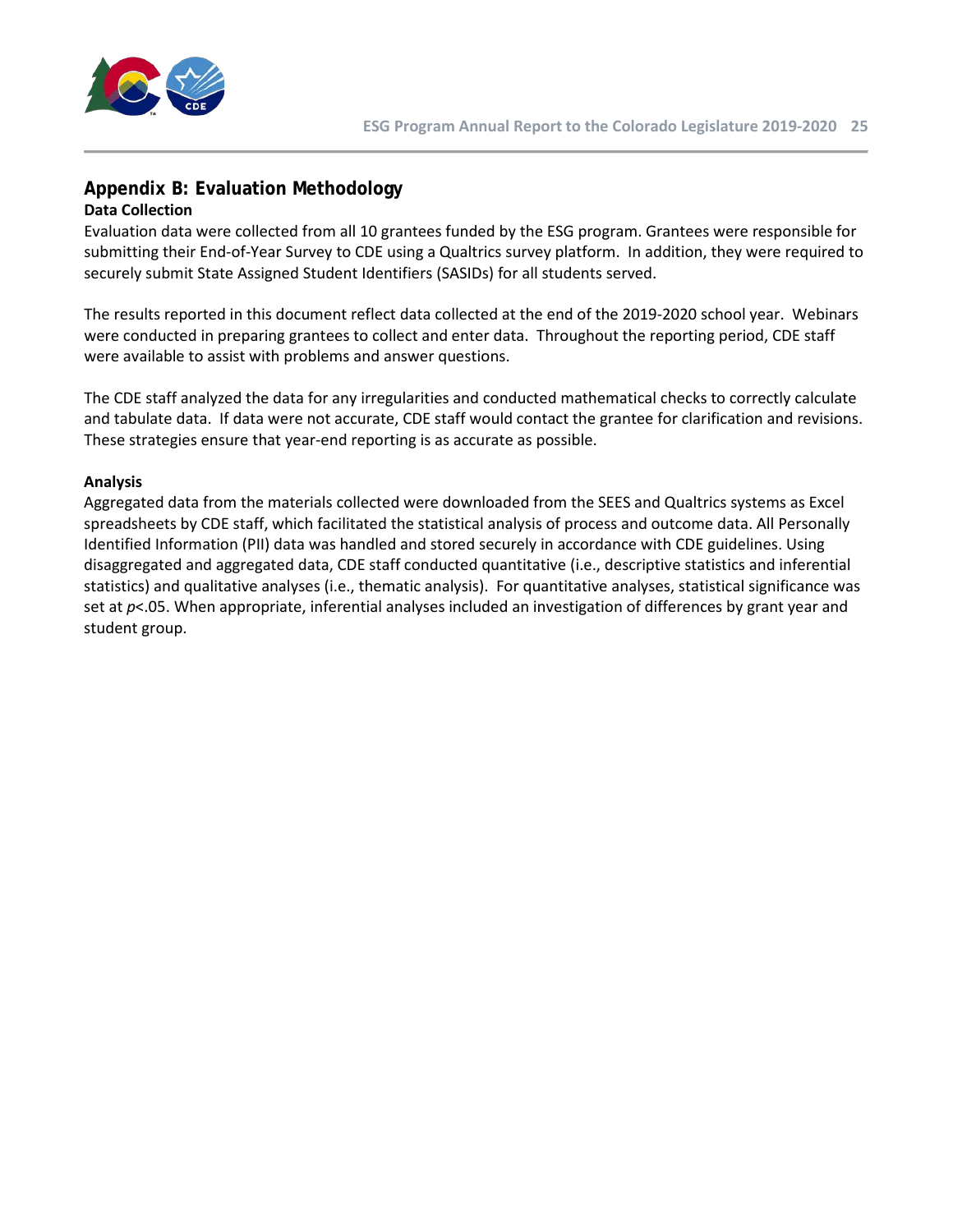

### **Appendix B: Evaluation Methodology Data Collection**

Evaluation data were collected from all 10 grantees funded by the ESG program. Grantees were responsible for submitting their End-of-Year Survey to CDE using a Qualtrics survey platform. In addition, they were required to securely submit State Assigned Student Identifiers (SASIDs) for all students served.

The results reported in this document reflect data collected at the end of the 2019-2020 school year. Webinars were conducted in preparing grantees to collect and enter data. Throughout the reporting period, CDE staff were available to assist with problems and answer questions.

The CDE staff analyzed the data for any irregularities and conducted mathematical checks to correctly calculate and tabulate data. If data were not accurate, CDE staff would contact the grantee for clarification and revisions. These strategies ensure that year-end reporting is as accurate as possible.

### **Analysis**

Aggregated data from the materials collected were downloaded from the SEES and Qualtrics systems as Excel spreadsheets by CDE staff, which facilitated the statistical analysis of process and outcome data. All Personally Identified Information (PII) data was handled and stored securely in accordance with CDE guidelines. Using disaggregated and aggregated data, CDE staff conducted quantitative (i.e., descriptive statistics and inferential statistics) and qualitative analyses (i.e., thematic analysis). For quantitative analyses, statistical significance was set at  $p$ <.05. When appropriate, inferential analyses included an investigation of differences by grant year and student group.